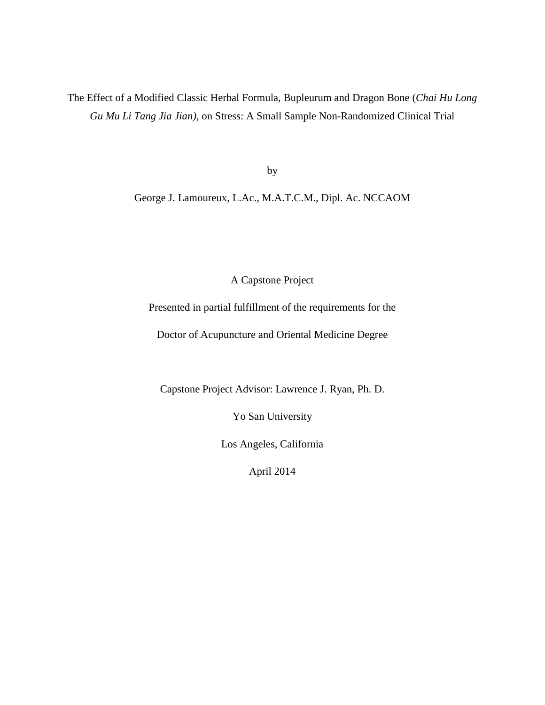The Effect of a Modified Classic Herbal Formula, Bupleurum and Dragon Bone (*Chai Hu Long Gu Mu Li Tang Jia Jian)*, on Stress: A Small Sample Non-Randomized Clinical Trial

by

George J. Lamoureux, L.Ac., M.A.T.C.M., Dipl. Ac. NCCAOM

A Capstone Project

Presented in partial fulfillment of the requirements for the

Doctor of Acupuncture and Oriental Medicine Degree

Capstone Project Advisor: Lawrence J. Ryan, Ph. D.

Yo San University

Los Angeles, California

April 2014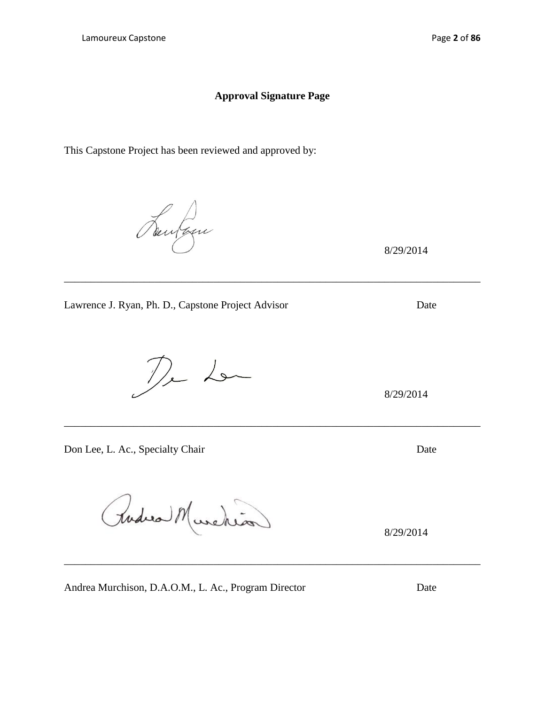# **Approval Signature Page**

\_\_\_\_\_\_\_\_\_\_\_\_\_\_\_\_\_\_\_\_\_\_\_\_\_\_\_\_\_\_\_\_\_\_\_\_\_\_\_\_\_\_\_\_\_\_\_\_\_\_\_\_\_\_\_\_\_\_\_\_\_\_\_\_\_\_\_\_\_\_\_\_\_\_\_\_\_\_

\_\_\_\_\_\_\_\_\_\_\_\_\_\_\_\_\_\_\_\_\_\_\_\_\_\_\_\_\_\_\_\_\_\_\_\_\_\_\_\_\_\_\_\_\_\_\_\_\_\_\_\_\_\_\_\_\_\_\_\_\_\_\_\_\_\_\_\_\_\_\_\_\_\_\_\_\_\_

This Capstone Project has been reviewed and approved by:

Lawrence J. Ryan, Ph. D., Capstone Project Advisor Date

 $D<sub>r</sub>$ 

Don Lee, L. Ac., Specialty Chair Date

Rudica Murche

Andrea Murchison, D.A.O.M., L. Ac., Program Director Date

8/29/2014

8/29/2014

8/29/2014

\_\_\_\_\_\_\_\_\_\_\_\_\_\_\_\_\_\_\_\_\_\_\_\_\_\_\_\_\_\_\_\_\_\_\_\_\_\_\_\_\_\_\_\_\_\_\_\_\_\_\_\_\_\_\_\_\_\_\_\_\_\_\_\_\_\_\_\_\_\_\_\_\_\_\_\_\_\_

Seulan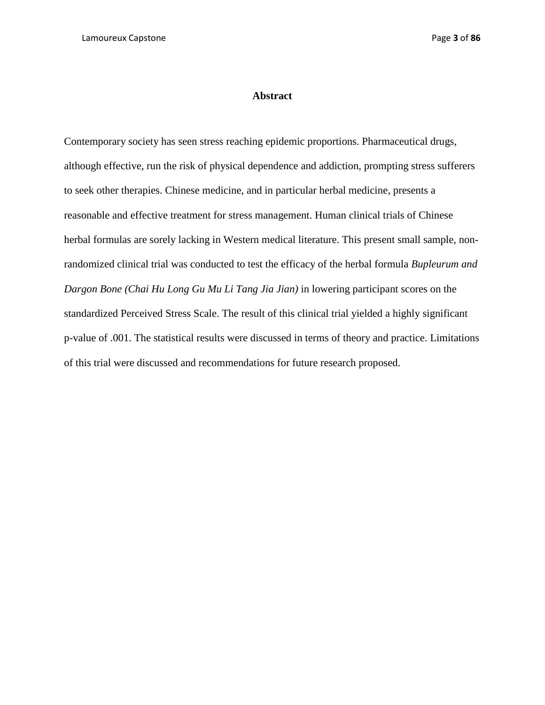### **Abstract**

Contemporary society has seen stress reaching epidemic proportions. Pharmaceutical drugs, although effective, run the risk of physical dependence and addiction, prompting stress sufferers to seek other therapies. Chinese medicine, and in particular herbal medicine, presents a reasonable and effective treatment for stress management. Human clinical trials of Chinese herbal formulas are sorely lacking in Western medical literature. This present small sample, nonrandomized clinical trial was conducted to test the efficacy of the herbal formula *Bupleurum and Dargon Bone (Chai Hu Long Gu Mu Li Tang Jia Jian)* in lowering participant scores on the standardized Perceived Stress Scale. The result of this clinical trial yielded a highly significant p-value of .001. The statistical results were discussed in terms of theory and practice. Limitations of this trial were discussed and recommendations for future research proposed.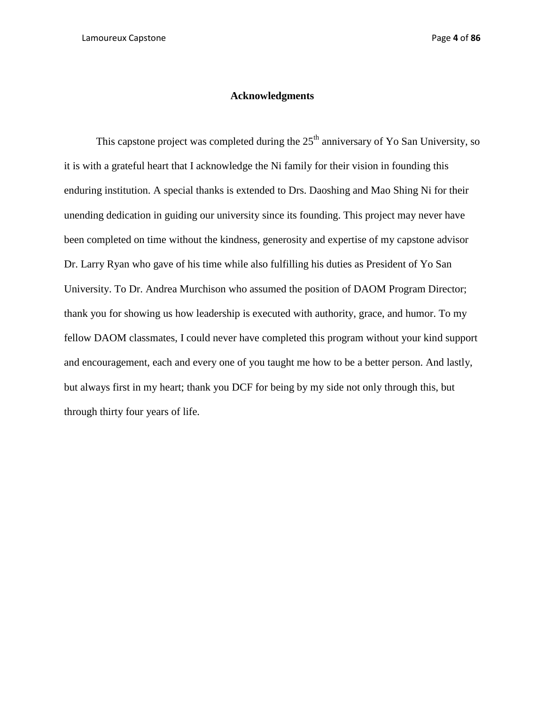# **Acknowledgments**

This capstone project was completed during the  $25<sup>th</sup>$  anniversary of Yo San University, so it is with a grateful heart that I acknowledge the Ni family for their vision in founding this enduring institution. A special thanks is extended to Drs. Daoshing and Mao Shing Ni for their unending dedication in guiding our university since its founding. This project may never have been completed on time without the kindness, generosity and expertise of my capstone advisor Dr. Larry Ryan who gave of his time while also fulfilling his duties as President of Yo San University. To Dr. Andrea Murchison who assumed the position of DAOM Program Director; thank you for showing us how leadership is executed with authority, grace, and humor. To my fellow DAOM classmates, I could never have completed this program without your kind support and encouragement, each and every one of you taught me how to be a better person. And lastly, but always first in my heart; thank you DCF for being by my side not only through this, but through thirty four years of life.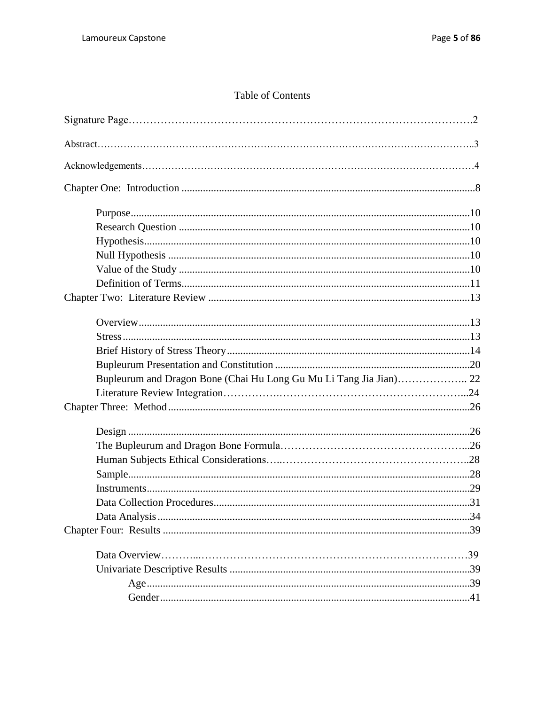# Table of Contents

| Bupleurum and Dragon Bone (Chai Hu Long Gu Mu Li Tang Jia Jian) 22 |  |
|--------------------------------------------------------------------|--|
|                                                                    |  |
|                                                                    |  |
|                                                                    |  |
|                                                                    |  |
|                                                                    |  |
|                                                                    |  |
|                                                                    |  |
|                                                                    |  |
|                                                                    |  |
|                                                                    |  |
|                                                                    |  |
|                                                                    |  |
|                                                                    |  |
|                                                                    |  |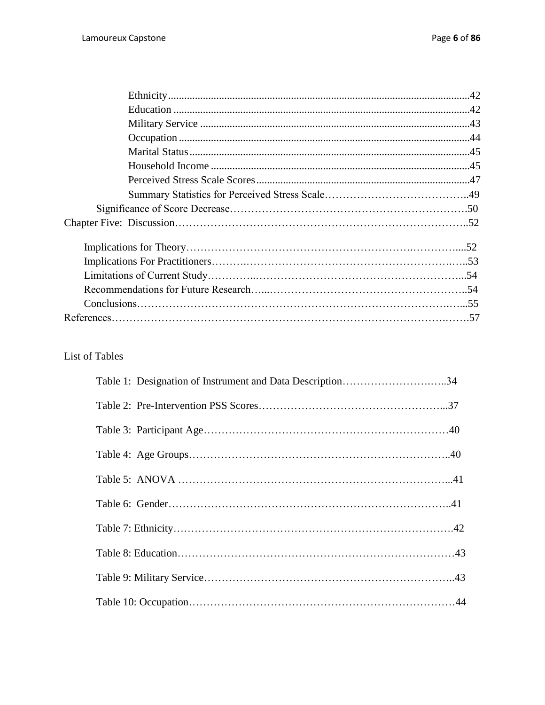# List of Tables

| Table 1: Designation of Instrument and Data Description34 |
|-----------------------------------------------------------|
|                                                           |
|                                                           |
|                                                           |
|                                                           |
|                                                           |
|                                                           |
|                                                           |
|                                                           |
|                                                           |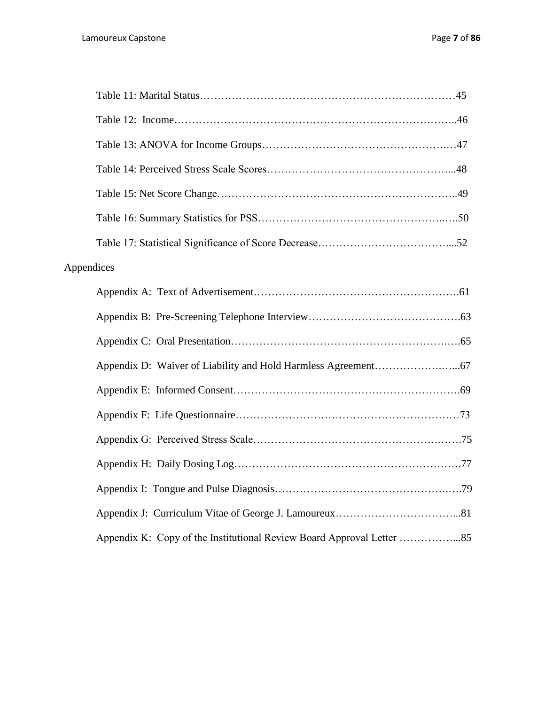| Appendices |  |
|------------|--|
|            |  |
|            |  |
|            |  |
|            |  |
|            |  |
|            |  |
|            |  |
|            |  |
|            |  |
|            |  |
|            |  |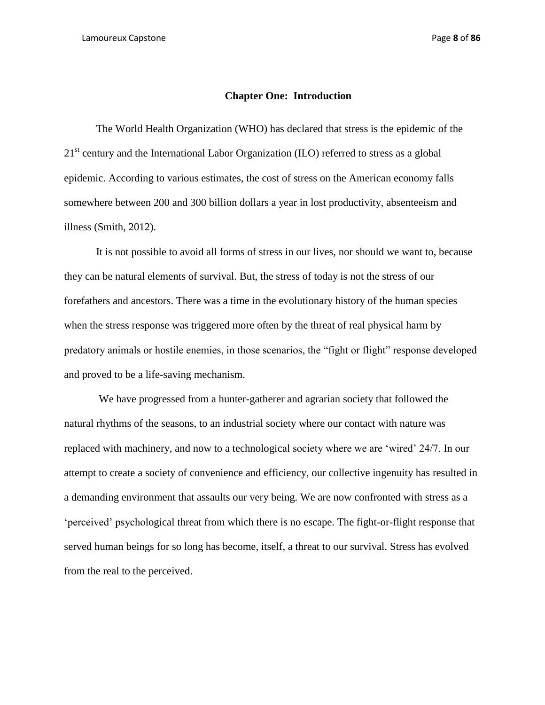### **Chapter One: Introduction**

The World Health Organization (WHO) has declared that stress is the epidemic of the 21<sup>st</sup> century and the International Labor Organization (ILO) referred to stress as a global epidemic. According to various estimates, the cost of stress on the American economy falls somewhere between 200 and 300 billion dollars a year in lost productivity, absenteeism and illness (Smith, 2012).

It is not possible to avoid all forms of stress in our lives, nor should we want to, because they can be natural elements of survival. But, the stress of today is not the stress of our forefathers and ancestors. There was a time in the evolutionary history of the human species when the stress response was triggered more often by the threat of real physical harm by predatory animals or hostile enemies, in those scenarios, the "fight or flight" response developed and proved to be a life-saving mechanism.

We have progressed from a hunter-gatherer and agrarian society that followed the natural rhythms of the seasons, to an industrial society where our contact with nature was replaced with machinery, and now to a technological society where we are 'wired' 24/7. In our attempt to create a society of convenience and efficiency, our collective ingenuity has resulted in a demanding environment that assaults our very being. We are now confronted with stress as a 'perceived' psychological threat from which there is no escape. The fight-or-flight response that served human beings for so long has become, itself, a threat to our survival. Stress has evolved from the real to the perceived.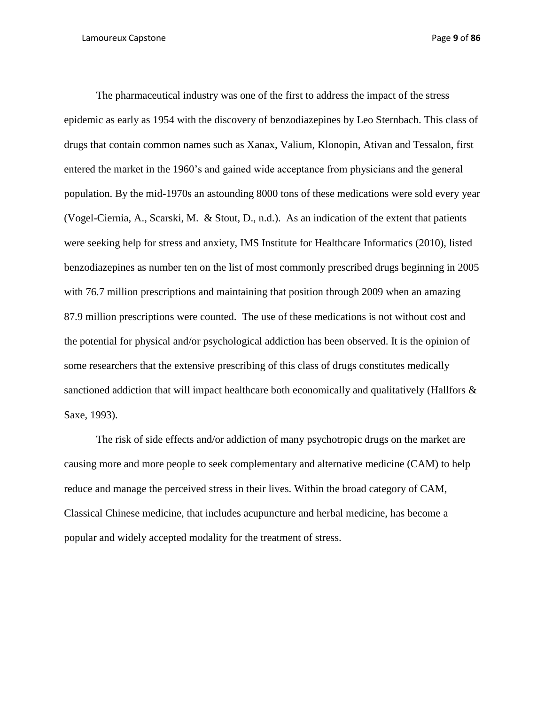The pharmaceutical industry was one of the first to address the impact of the stress epidemic as early as 1954 with the discovery of benzodiazepines by Leo Sternbach. This class of drugs that contain common names such as Xanax, Valium, Klonopin, Ativan and Tessalon, first entered the market in the 1960's and gained wide acceptance from physicians and the general population. By the mid-1970s an astounding 8000 tons of these medications were sold every year (Vogel-Ciernia, A., Scarski, M. & Stout, D., n.d.). As an indication of the extent that patients were seeking help for stress and anxiety, IMS Institute for Healthcare Informatics (2010), listed benzodiazepines as number ten on the list of most commonly prescribed drugs beginning in 2005 with 76.7 million prescriptions and maintaining that position through 2009 when an amazing 87.9 million prescriptions were counted. The use of these medications is not without cost and the potential for physical and/or psychological addiction has been observed. It is the opinion of some researchers that the extensive prescribing of this class of drugs constitutes medically sanctioned addiction that will impact healthcare both economically and qualitatively (Hallfors  $\&$ Saxe, 1993).

The risk of side effects and/or addiction of many psychotropic drugs on the market are causing more and more people to seek complementary and alternative medicine (CAM) to help reduce and manage the perceived stress in their lives. Within the broad category of CAM, Classical Chinese medicine, that includes acupuncture and herbal medicine, has become a popular and widely accepted modality for the treatment of stress.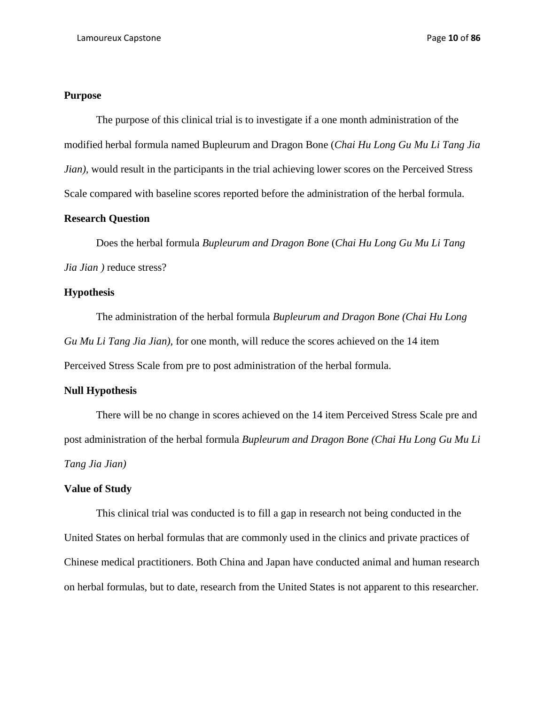# **Purpose**

The purpose of this clinical trial is to investigate if a one month administration of the modified herbal formula named Bupleurum and Dragon Bone (*Chai Hu Long Gu Mu Li Tang Jia Jian*), would result in the participants in the trial achieving lower scores on the Perceived Stress Scale compared with baseline scores reported before the administration of the herbal formula.

## **Research Question**

Does the herbal formula *Bupleurum and Dragon Bone* (*Chai Hu Long Gu Mu Li Tang Jia Jian )* reduce stress?

## **Hypothesis**

The administration of the herbal formula *Bupleurum and Dragon Bone (Chai Hu Long Gu Mu Li Tang Jia Jian),* for one month, will reduce the scores achieved on the 14 item Perceived Stress Scale from pre to post administration of the herbal formula.

## **Null Hypothesis**

There will be no change in scores achieved on the 14 item Perceived Stress Scale pre and post administration of the herbal formula *Bupleurum and Dragon Bone (Chai Hu Long Gu Mu Li Tang Jia Jian)*

## **Value of Study**

This clinical trial was conducted is to fill a gap in research not being conducted in the United States on herbal formulas that are commonly used in the clinics and private practices of Chinese medical practitioners. Both China and Japan have conducted animal and human research on herbal formulas, but to date, research from the United States is not apparent to this researcher.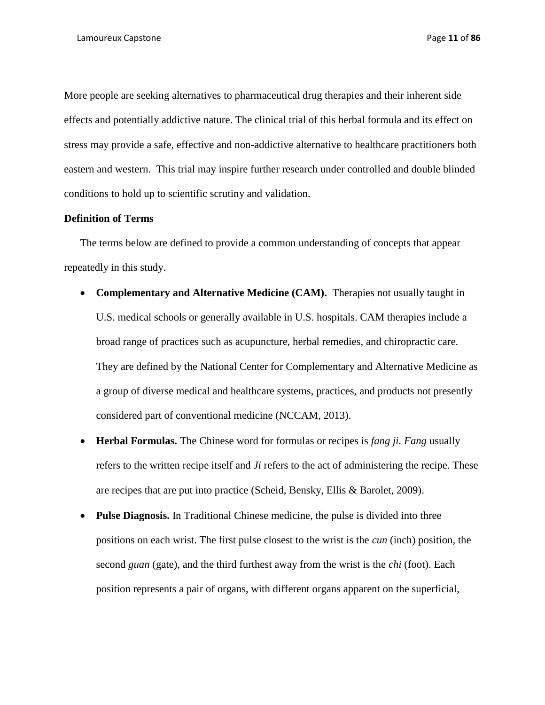More people are seeking alternatives to pharmaceutical drug therapies and their inherent side effects and potentially addictive nature. The clinical trial of this herbal formula and its effect on stress may provide a safe, effective and non-addictive alternative to healthcare practitioners both eastern and western. This trial may inspire further research under controlled and double blinded conditions to hold up to scientific scrutiny and validation.

## **Definition of Terms**

The terms below are defined to provide a common understanding of concepts that appear repeatedly in this study.

- **Complementary and Alternative Medicine (CAM).** Therapies not usually taught in U.S. medical schools or generally available in U.S. hospitals. CAM therapies include a broad range of practices such as acupuncture, herbal remedies, and chiropractic care. They are defined by the National Center for Complementary and Alternative Medicine as a group of diverse medical and healthcare systems, practices, and products not presently considered part of conventional medicine (NCCAM, 2013).
- **Herbal Formulas.** The Chinese word for formulas or recipes is *fang ji. Fang* usually refers to the written recipe itself and *Ji* refers to the act of administering the recipe. These are recipes that are put into practice (Scheid, Bensky, Ellis & Barolet, 2009).
- **Pulse Diagnosis.** In Traditional Chinese medicine, the pulse is divided into three positions on each wrist. The first pulse closest to the wrist is the *cun* (inch) position, the second *guan* (gate), and the third furthest away from the wrist is the *chi* (foot). Each position represents a pair of organs, with different organs apparent on the superficial,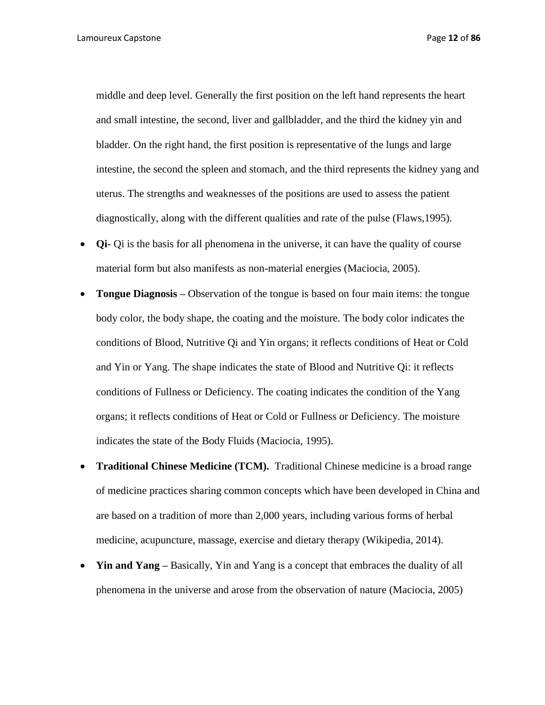Lamoureux Capstone Page **12** of **86**

middle and deep level. Generally the first position on the left hand represents the heart and small intestine, the second, liver and gallbladder, and the third the kidney yin and bladder. On the right hand, the first position is representative of the lungs and large intestine, the second the spleen and stomach, and the third represents the kidney yang and uterus. The strengths and weaknesses of the positions are used to assess the patient diagnostically, along with the different qualities and rate of the pulse (Flaws,1995).

- **Qi-** Qi is the basis for all phenomena in the universe, it can have the quality of course material form but also manifests as non-material energies (Maciocia, 2005).
- **Tongue Diagnosis –** Observation of the tongue is based on four main items: the tongue body color, the body shape, the coating and the moisture. The body color indicates the conditions of Blood, Nutritive Qi and Yin organs; it reflects conditions of Heat or Cold and Yin or Yang. The shape indicates the state of Blood and Nutritive Qi: it reflects conditions of Fullness or Deficiency. The coating indicates the condition of the Yang organs; it reflects conditions of Heat or Cold or Fullness or Deficiency. The moisture indicates the state of the Body Fluids (Maciocia, 1995).
- **Traditional Chinese Medicine (TCM).** Traditional Chinese medicine is a broad range of medicine practices sharing common concepts which have been developed in China and are based on a tradition of more than 2,000 years, including various forms of herbal medicine, acupuncture, massage, exercise and dietary therapy (Wikipedia, 2014).
- **Yin and Yang –** Basically, Yin and Yang is a concept that embraces the duality of all phenomena in the universe and arose from the observation of nature (Maciocia, 2005)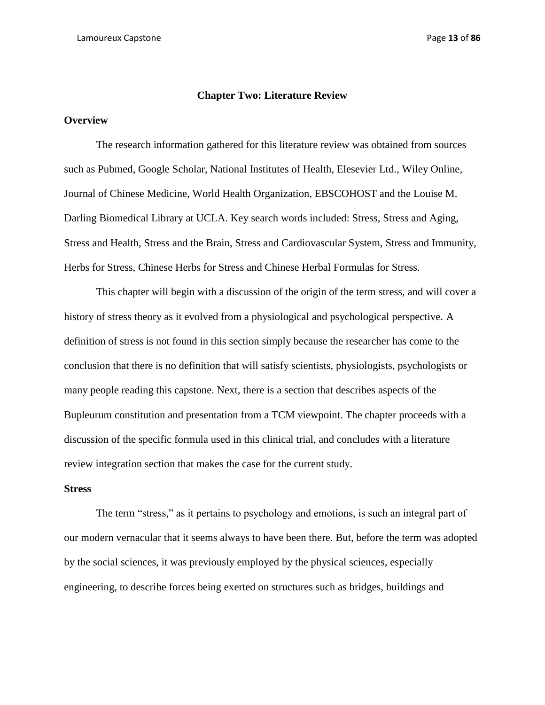### **Chapter Two: Literature Review**

### **Overview**

The research information gathered for this literature review was obtained from sources such as Pubmed, Google Scholar, National Institutes of Health, Elesevier Ltd., Wiley Online, Journal of Chinese Medicine, World Health Organization, EBSCOHOST and the Louise M. Darling Biomedical Library at UCLA. Key search words included: Stress, Stress and Aging, Stress and Health, Stress and the Brain, Stress and Cardiovascular System, Stress and Immunity, Herbs for Stress, Chinese Herbs for Stress and Chinese Herbal Formulas for Stress.

This chapter will begin with a discussion of the origin of the term stress, and will cover a history of stress theory as it evolved from a physiological and psychological perspective. A definition of stress is not found in this section simply because the researcher has come to the conclusion that there is no definition that will satisfy scientists, physiologists, psychologists or many people reading this capstone. Next, there is a section that describes aspects of the Bupleurum constitution and presentation from a TCM viewpoint. The chapter proceeds with a discussion of the specific formula used in this clinical trial, and concludes with a literature review integration section that makes the case for the current study.

### **Stress**

The term "stress," as it pertains to psychology and emotions, is such an integral part of our modern vernacular that it seems always to have been there. But, before the term was adopted by the social sciences, it was previously employed by the physical sciences, especially engineering, to describe forces being exerted on structures such as bridges, buildings and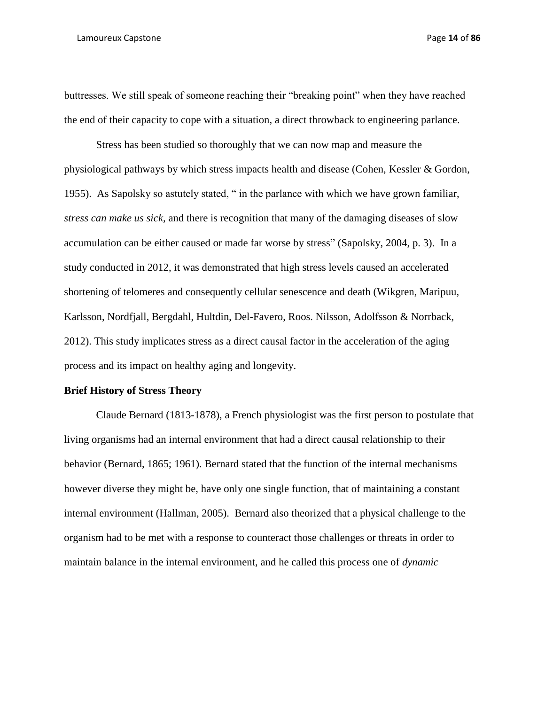#### Lamoureux Capstone Page **14** of **86**

buttresses. We still speak of someone reaching their "breaking point" when they have reached the end of their capacity to cope with a situation, a direct throwback to engineering parlance.

Stress has been studied so thoroughly that we can now map and measure the physiological pathways by which stress impacts health and disease (Cohen, Kessler & Gordon, 1955). As Sapolsky so astutely stated, " in the parlance with which we have grown familiar, *stress can make us sick,* and there is recognition that many of the damaging diseases of slow accumulation can be either caused or made far worse by stress" (Sapolsky, 2004, p. 3). In a study conducted in 2012, it was demonstrated that high stress levels caused an accelerated shortening of telomeres and consequently cellular senescence and death (Wikgren, Maripuu, Karlsson, Nordfjall, Bergdahl, Hultdin, Del-Favero, Roos. Nilsson, Adolfsson & Norrback, 2012). This study implicates stress as a direct causal factor in the acceleration of the aging process and its impact on healthy aging and longevity.

## **Brief History of Stress Theory**

Claude Bernard (1813-1878), a French physiologist was the first person to postulate that living organisms had an internal environment that had a direct causal relationship to their behavior (Bernard, 1865; 1961). Bernard stated that the function of the internal mechanisms however diverse they might be, have only one single function, that of maintaining a constant internal environment (Hallman, 2005). Bernard also theorized that a physical challenge to the organism had to be met with a response to counteract those challenges or threats in order to maintain balance in the internal environment, and he called this process one of *dynamic*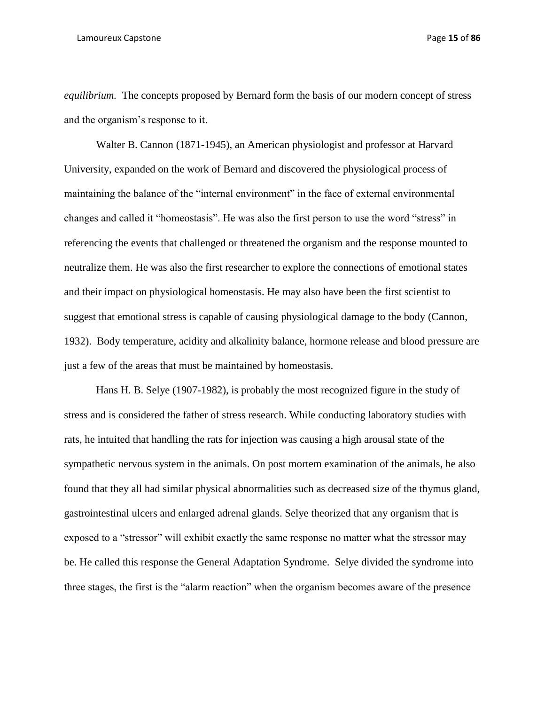*equilibrium.* The concepts proposed by Bernard form the basis of our modern concept of stress and the organism's response to it.

Walter B. Cannon (1871-1945), an American physiologist and professor at Harvard University, expanded on the work of Bernard and discovered the physiological process of maintaining the balance of the "internal environment" in the face of external environmental changes and called it "homeostasis". He was also the first person to use the word "stress" in referencing the events that challenged or threatened the organism and the response mounted to neutralize them. He was also the first researcher to explore the connections of emotional states and their impact on physiological homeostasis. He may also have been the first scientist to suggest that emotional stress is capable of causing physiological damage to the body (Cannon, 1932). Body temperature, acidity and alkalinity balance, hormone release and blood pressure are just a few of the areas that must be maintained by homeostasis.

Hans H. B. Selye (1907-1982), is probably the most recognized figure in the study of stress and is considered the father of stress research. While conducting laboratory studies with rats, he intuited that handling the rats for injection was causing a high arousal state of the sympathetic nervous system in the animals. On post mortem examination of the animals, he also found that they all had similar physical abnormalities such as decreased size of the thymus gland, gastrointestinal ulcers and enlarged adrenal glands. Selye theorized that any organism that is exposed to a "stressor" will exhibit exactly the same response no matter what the stressor may be. He called this response the General Adaptation Syndrome. Selye divided the syndrome into three stages, the first is the "alarm reaction" when the organism becomes aware of the presence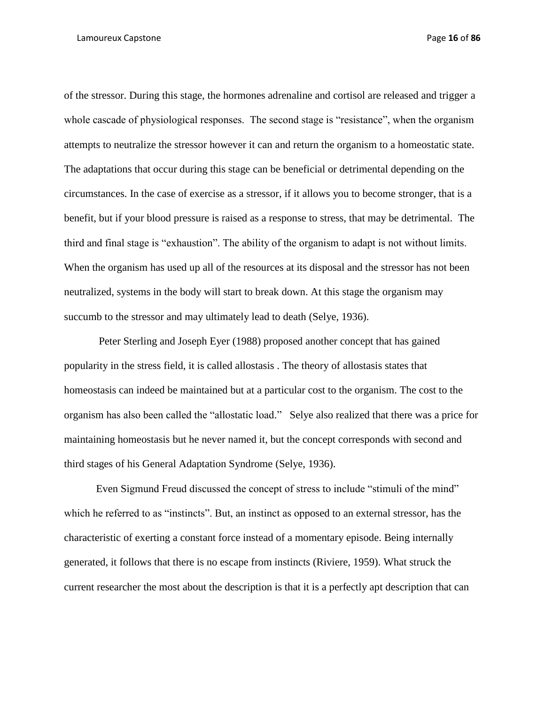of the stressor. During this stage, the hormones adrenaline and cortisol are released and trigger a whole cascade of physiological responses. The second stage is "resistance", when the organism attempts to neutralize the stressor however it can and return the organism to a homeostatic state. The adaptations that occur during this stage can be beneficial or detrimental depending on the circumstances. In the case of exercise as a stressor, if it allows you to become stronger, that is a benefit, but if your blood pressure is raised as a response to stress, that may be detrimental. The third and final stage is "exhaustion". The ability of the organism to adapt is not without limits. When the organism has used up all of the resources at its disposal and the stressor has not been neutralized, systems in the body will start to break down. At this stage the organism may succumb to the stressor and may ultimately lead to death (Selye, 1936).

Peter Sterling and Joseph Eyer (1988) proposed another concept that has gained popularity in the stress field, it is called allostasis . The theory of allostasis states that homeostasis can indeed be maintained but at a particular cost to the organism. The cost to the organism has also been called the "allostatic load." Selye also realized that there was a price for maintaining homeostasis but he never named it, but the concept corresponds with second and third stages of his General Adaptation Syndrome (Selye, 1936).

Even Sigmund Freud discussed the concept of stress to include "stimuli of the mind" which he referred to as "instincts". But, an instinct as opposed to an external stressor, has the characteristic of exerting a constant force instead of a momentary episode. Being internally generated, it follows that there is no escape from instincts (Riviere, 1959). What struck the current researcher the most about the description is that it is a perfectly apt description that can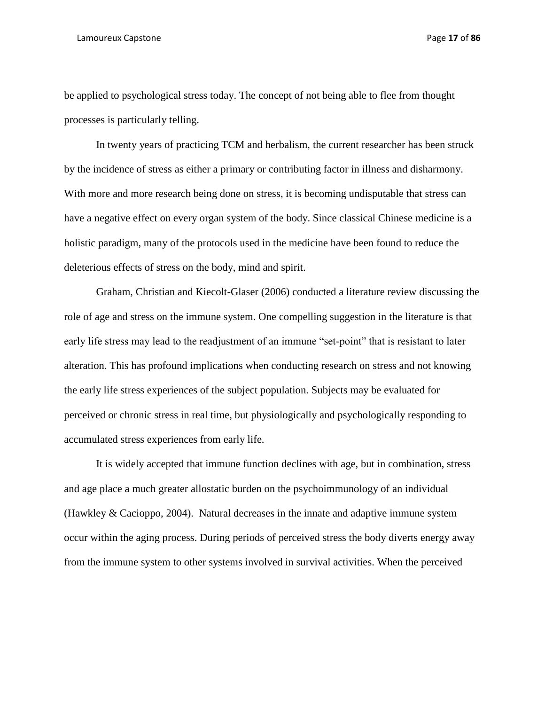#### Lamoureux Capstone Page **17** of **86**

be applied to psychological stress today. The concept of not being able to flee from thought processes is particularly telling.

In twenty years of practicing TCM and herbalism, the current researcher has been struck by the incidence of stress as either a primary or contributing factor in illness and disharmony. With more and more research being done on stress, it is becoming undisputable that stress can have a negative effect on every organ system of the body. Since classical Chinese medicine is a holistic paradigm, many of the protocols used in the medicine have been found to reduce the deleterious effects of stress on the body, mind and spirit.

Graham, Christian and Kiecolt-Glaser (2006) conducted a literature review discussing the role of age and stress on the immune system. One compelling suggestion in the literature is that early life stress may lead to the readjustment of an immune "set-point" that is resistant to later alteration. This has profound implications when conducting research on stress and not knowing the early life stress experiences of the subject population. Subjects may be evaluated for perceived or chronic stress in real time, but physiologically and psychologically responding to accumulated stress experiences from early life.

It is widely accepted that immune function declines with age, but in combination, stress and age place a much greater allostatic burden on the psychoimmunology of an individual (Hawkley & Cacioppo, 2004). Natural decreases in the innate and adaptive immune system occur within the aging process. During periods of perceived stress the body diverts energy away from the immune system to other systems involved in survival activities. When the perceived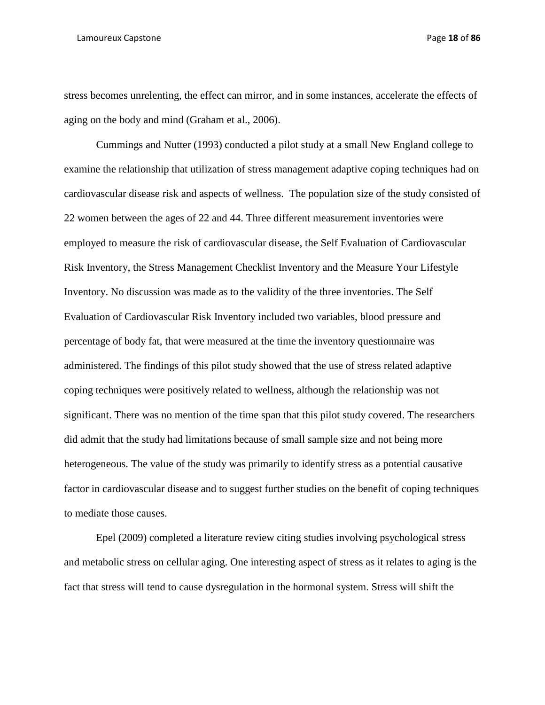#### Lamoureux Capstone Page **18** of **86**

stress becomes unrelenting, the effect can mirror, and in some instances, accelerate the effects of aging on the body and mind (Graham et al., 2006).

Cummings and Nutter (1993) conducted a pilot study at a small New England college to examine the relationship that utilization of stress management adaptive coping techniques had on cardiovascular disease risk and aspects of wellness. The population size of the study consisted of 22 women between the ages of 22 and 44. Three different measurement inventories were employed to measure the risk of cardiovascular disease, the Self Evaluation of Cardiovascular Risk Inventory, the Stress Management Checklist Inventory and the Measure Your Lifestyle Inventory. No discussion was made as to the validity of the three inventories. The Self Evaluation of Cardiovascular Risk Inventory included two variables, blood pressure and percentage of body fat, that were measured at the time the inventory questionnaire was administered. The findings of this pilot study showed that the use of stress related adaptive coping techniques were positively related to wellness, although the relationship was not significant. There was no mention of the time span that this pilot study covered. The researchers did admit that the study had limitations because of small sample size and not being more heterogeneous. The value of the study was primarily to identify stress as a potential causative factor in cardiovascular disease and to suggest further studies on the benefit of coping techniques to mediate those causes.

Epel (2009) completed a literature review citing studies involving psychological stress and metabolic stress on cellular aging. One interesting aspect of stress as it relates to aging is the fact that stress will tend to cause dysregulation in the hormonal system. Stress will shift the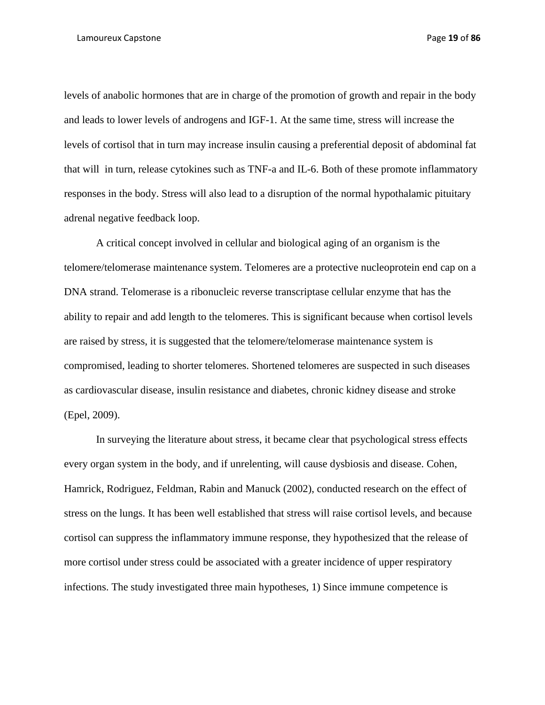levels of anabolic hormones that are in charge of the promotion of growth and repair in the body and leads to lower levels of androgens and IGF-1. At the same time, stress will increase the levels of cortisol that in turn may increase insulin causing a preferential deposit of abdominal fat that will in turn, release cytokines such as TNF-a and IL-6. Both of these promote inflammatory responses in the body. Stress will also lead to a disruption of the normal hypothalamic pituitary adrenal negative feedback loop.

A critical concept involved in cellular and biological aging of an organism is the telomere/telomerase maintenance system. Telomeres are a protective nucleoprotein end cap on a DNA strand. Telomerase is a ribonucleic reverse transcriptase cellular enzyme that has the ability to repair and add length to the telomeres. This is significant because when cortisol levels are raised by stress, it is suggested that the telomere/telomerase maintenance system is compromised, leading to shorter telomeres. Shortened telomeres are suspected in such diseases as cardiovascular disease, insulin resistance and diabetes, chronic kidney disease and stroke (Epel, 2009).

In surveying the literature about stress, it became clear that psychological stress effects every organ system in the body, and if unrelenting, will cause dysbiosis and disease. Cohen, Hamrick, Rodriguez, Feldman, Rabin and Manuck (2002), conducted research on the effect of stress on the lungs. It has been well established that stress will raise cortisol levels, and because cortisol can suppress the inflammatory immune response, they hypothesized that the release of more cortisol under stress could be associated with a greater incidence of upper respiratory infections. The study investigated three main hypotheses, 1) Since immune competence is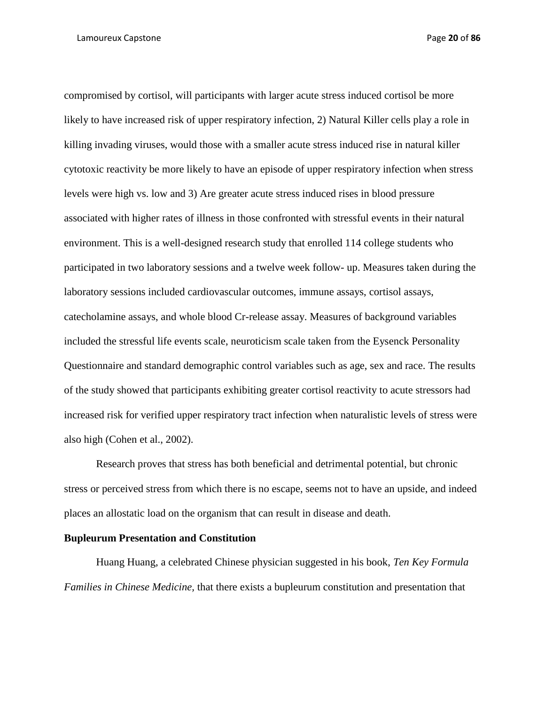compromised by cortisol, will participants with larger acute stress induced cortisol be more likely to have increased risk of upper respiratory infection, 2) Natural Killer cells play a role in killing invading viruses, would those with a smaller acute stress induced rise in natural killer cytotoxic reactivity be more likely to have an episode of upper respiratory infection when stress levels were high vs. low and 3) Are greater acute stress induced rises in blood pressure associated with higher rates of illness in those confronted with stressful events in their natural environment. This is a well-designed research study that enrolled 114 college students who participated in two laboratory sessions and a twelve week follow- up. Measures taken during the laboratory sessions included cardiovascular outcomes, immune assays, cortisol assays, catecholamine assays, and whole blood Cr-release assay. Measures of background variables included the stressful life events scale, neuroticism scale taken from the Eysenck Personality Questionnaire and standard demographic control variables such as age, sex and race. The results of the study showed that participants exhibiting greater cortisol reactivity to acute stressors had increased risk for verified upper respiratory tract infection when naturalistic levels of stress were also high (Cohen et al., 2002).

Research proves that stress has both beneficial and detrimental potential, but chronic stress or perceived stress from which there is no escape, seems not to have an upside, and indeed places an allostatic load on the organism that can result in disease and death.

# **Bupleurum Presentation and Constitution**

Huang Huang, a celebrated Chinese physician suggested in his book, *Ten Key Formula Families in Chinese Medicine,* that there exists a bupleurum constitution and presentation that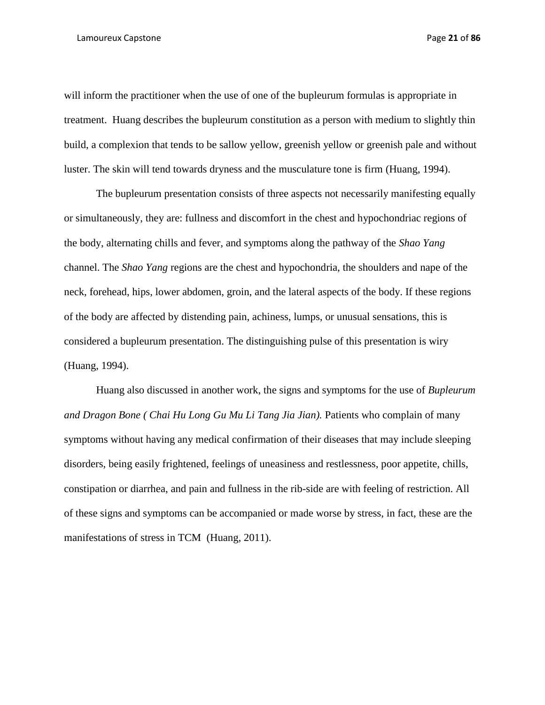will inform the practitioner when the use of one of the bupleurum formulas is appropriate in treatment. Huang describes the bupleurum constitution as a person with medium to slightly thin build, a complexion that tends to be sallow yellow, greenish yellow or greenish pale and without luster. The skin will tend towards dryness and the musculature tone is firm (Huang, 1994).

The bupleurum presentation consists of three aspects not necessarily manifesting equally or simultaneously, they are: fullness and discomfort in the chest and hypochondriac regions of the body, alternating chills and fever, and symptoms along the pathway of the *Shao Yang*  channel. The *Shao Yang* regions are the chest and hypochondria, the shoulders and nape of the neck, forehead, hips, lower abdomen, groin, and the lateral aspects of the body. If these regions of the body are affected by distending pain, achiness, lumps, or unusual sensations, this is considered a bupleurum presentation. The distinguishing pulse of this presentation is wiry (Huang, 1994).

Huang also discussed in another work, the signs and symptoms for the use of *Bupleurum and Dragon Bone ( Chai Hu Long Gu Mu Li Tang Jia Jian).* Patients who complain of many symptoms without having any medical confirmation of their diseases that may include sleeping disorders, being easily frightened, feelings of uneasiness and restlessness, poor appetite, chills, constipation or diarrhea, and pain and fullness in the rib-side are with feeling of restriction. All of these signs and symptoms can be accompanied or made worse by stress, in fact, these are the manifestations of stress in TCM (Huang, 2011).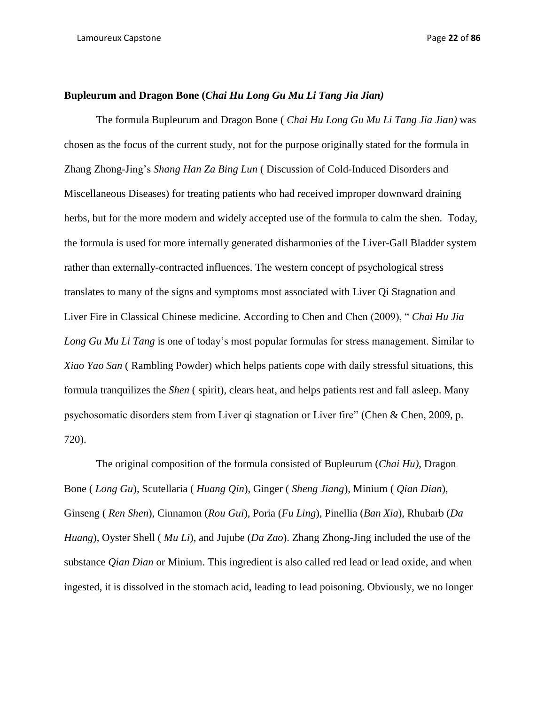# **Bupleurum and Dragon Bone (***Chai Hu Long Gu Mu Li Tang Jia Jian)*

The formula Bupleurum and Dragon Bone ( *Chai Hu Long Gu Mu Li Tang Jia Jian)* was chosen as the focus of the current study, not for the purpose originally stated for the formula in Zhang Zhong-Jing's *Shang Han Za Bing Lun* ( Discussion of Cold-Induced Disorders and Miscellaneous Diseases) for treating patients who had received improper downward draining herbs, but for the more modern and widely accepted use of the formula to calm the shen. Today, the formula is used for more internally generated disharmonies of the Liver-Gall Bladder system rather than externally-contracted influences. The western concept of psychological stress translates to many of the signs and symptoms most associated with Liver Qi Stagnation and Liver Fire in Classical Chinese medicine. According to Chen and Chen (2009), " *Chai Hu Jia Long Gu Mu Li Tang* is one of today's most popular formulas for stress management. Similar to *Xiao Yao San* ( Rambling Powder) which helps patients cope with daily stressful situations, this formula tranquilizes the *Shen* ( spirit), clears heat, and helps patients rest and fall asleep. Many psychosomatic disorders stem from Liver qi stagnation or Liver fire" (Chen & Chen, 2009, p. 720).

The original composition of the formula consisted of Bupleurum (*Chai Hu)*, Dragon Bone ( *Long Gu*), Scutellaria ( *Huang Qin*), Ginger ( *Sheng Jiang*), Minium ( *Qian Dian*), Ginseng ( *Ren Shen*), Cinnamon (*Rou Gui*), Poria (*Fu Ling*), Pinellia (*Ban Xia*), Rhubarb (*Da Huang*), Oyster Shell ( *Mu Li*), and Jujube (*Da Zao*). Zhang Zhong-Jing included the use of the substance *Qian Dian* or Minium. This ingredient is also called red lead or lead oxide, and when ingested, it is dissolved in the stomach acid, leading to lead poisoning. Obviously, we no longer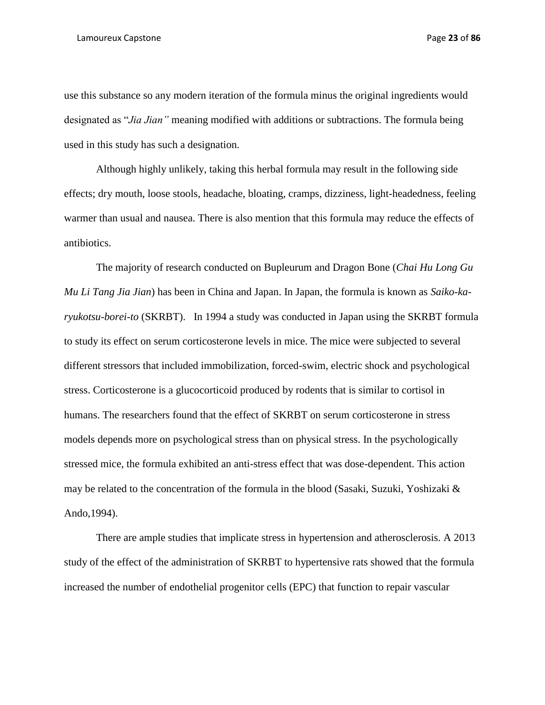#### Lamoureux Capstone Page **23** of **86**

use this substance so any modern iteration of the formula minus the original ingredients would designated as "*Jia Jian"* meaning modified with additions or subtractions. The formula being used in this study has such a designation.

Although highly unlikely, taking this herbal formula may result in the following side effects; dry mouth, loose stools, headache, bloating, cramps, dizziness, light-headedness, feeling warmer than usual and nausea. There is also mention that this formula may reduce the effects of antibiotics.

The majority of research conducted on Bupleurum and Dragon Bone (*Chai Hu Long Gu Mu Li Tang Jia Jian*) has been in China and Japan. In Japan, the formula is known as *Saiko-karyukotsu-borei-to* (SKRBT). In 1994 a study was conducted in Japan using the SKRBT formula to study its effect on serum corticosterone levels in mice. The mice were subjected to several different stressors that included immobilization, forced-swim, electric shock and psychological stress. Corticosterone is a glucocorticoid produced by rodents that is similar to cortisol in humans. The researchers found that the effect of SKRBT on serum corticosterone in stress models depends more on psychological stress than on physical stress. In the psychologically stressed mice, the formula exhibited an anti-stress effect that was dose-dependent. This action may be related to the concentration of the formula in the blood (Sasaki, Suzuki, Yoshizaki  $\&$ Ando,1994).

There are ample studies that implicate stress in hypertension and atherosclerosis. A 2013 study of the effect of the administration of SKRBT to hypertensive rats showed that the formula increased the number of endothelial progenitor cells (EPC) that function to repair vascular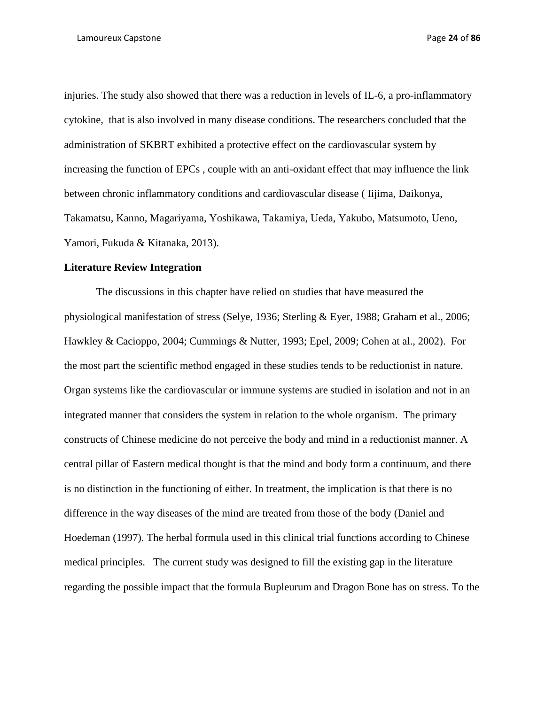injuries. The study also showed that there was a reduction in levels of IL-6, a pro-inflammatory cytokine, that is also involved in many disease conditions. The researchers concluded that the administration of SKBRT exhibited a protective effect on the cardiovascular system by increasing the function of EPCs , couple with an anti-oxidant effect that may influence the link between chronic inflammatory conditions and cardiovascular disease ( Iijima, Daikonya, Takamatsu, Kanno, Magariyama, Yoshikawa, Takamiya, Ueda, Yakubo, Matsumoto, Ueno, Yamori, Fukuda & Kitanaka, 2013).

### **Literature Review Integration**

The discussions in this chapter have relied on studies that have measured the physiological manifestation of stress (Selye, 1936; Sterling & Eyer, 1988; Graham et al., 2006; Hawkley & Cacioppo, 2004; Cummings & Nutter, 1993; Epel, 2009; Cohen at al., 2002). For the most part the scientific method engaged in these studies tends to be reductionist in nature. Organ systems like the cardiovascular or immune systems are studied in isolation and not in an integrated manner that considers the system in relation to the whole organism. The primary constructs of Chinese medicine do not perceive the body and mind in a reductionist manner. A central pillar of Eastern medical thought is that the mind and body form a continuum, and there is no distinction in the functioning of either. In treatment, the implication is that there is no difference in the way diseases of the mind are treated from those of the body (Daniel and Hoedeman (1997). The herbal formula used in this clinical trial functions according to Chinese medical principles. The current study was designed to fill the existing gap in the literature regarding the possible impact that the formula Bupleurum and Dragon Bone has on stress. To the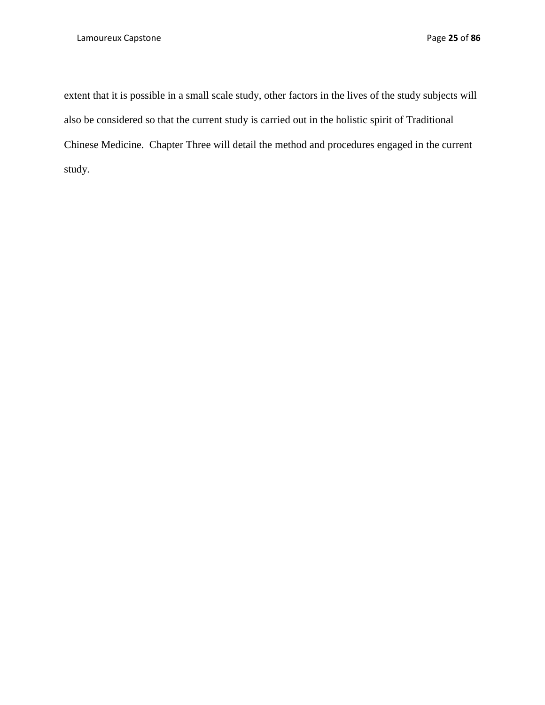extent that it is possible in a small scale study, other factors in the lives of the study subjects will also be considered so that the current study is carried out in the holistic spirit of Traditional Chinese Medicine. Chapter Three will detail the method and procedures engaged in the current study.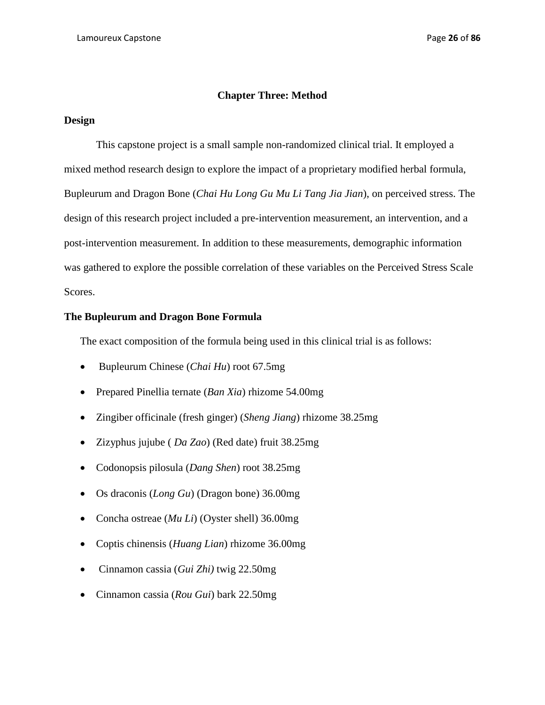# **Chapter Three: Method**

## **Design**

This capstone project is a small sample non-randomized clinical trial. It employed a mixed method research design to explore the impact of a proprietary modified herbal formula, Bupleurum and Dragon Bone (*Chai Hu Long Gu Mu Li Tang Jia Jian*), on perceived stress. The design of this research project included a pre-intervention measurement, an intervention, and a post-intervention measurement. In addition to these measurements, demographic information was gathered to explore the possible correlation of these variables on the Perceived Stress Scale Scores.

# **The Bupleurum and Dragon Bone Formula**

The exact composition of the formula being used in this clinical trial is as follows:

- Bupleurum Chinese (*Chai Hu*) root 67.5mg
- Prepared Pinellia ternate (*Ban Xia*) rhizome 54.00mg
- Zingiber officinale (fresh ginger) (*Sheng Jiang*) rhizome 38.25mg
- Zizyphus jujube ( *Da Zao*) (Red date) fruit 38.25mg
- Codonopsis pilosula (*Dang Shen*) root 38.25mg
- Os draconis (*Long Gu*) (Dragon bone) 36.00mg
- Concha ostreae (*Mu Li*) (Oyster shell) 36.00mg
- Coptis chinensis (*Huang Lian*) rhizome 36.00mg
- Cinnamon cassia (*Gui Zhi)* twig 22.50mg
- Cinnamon cassia (*Rou Gui*) bark 22.50mg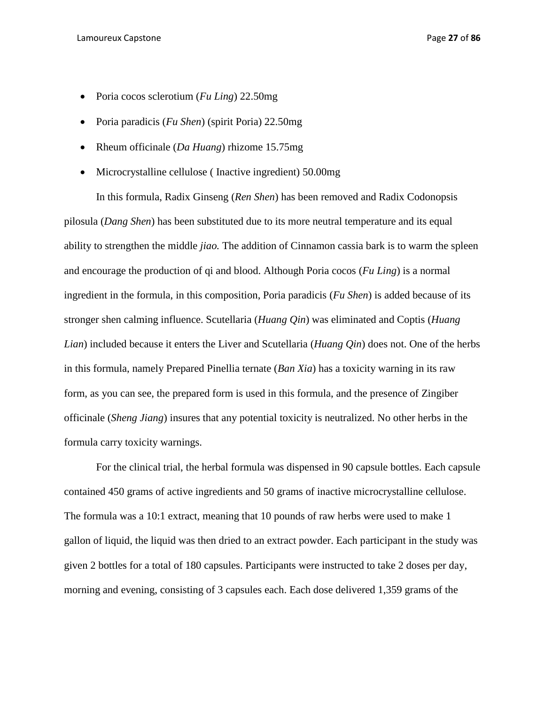- Poria cocos sclerotium (*Fu Ling*) 22.50mg
- Poria paradicis (*Fu Shen*) (spirit Poria) 22.50mg
- Rheum officinale (*Da Huang*) rhizome 15.75mg
- Microcrystalline cellulose ( Inactive ingredient) 50.00mg

In this formula, Radix Ginseng (*Ren Shen*) has been removed and Radix Codonopsis pilosula (*Dang Shen*) has been substituted due to its more neutral temperature and its equal ability to strengthen the middle *jiao.* The addition of Cinnamon cassia bark is to warm the spleen and encourage the production of qi and blood. Although Poria cocos (*Fu Ling*) is a normal ingredient in the formula, in this composition, Poria paradicis (*Fu Shen*) is added because of its stronger shen calming influence. Scutellaria (*Huang Qin*) was eliminated and Coptis (*Huang Lian*) included because it enters the Liver and Scutellaria (*Huang Qin*) does not. One of the herbs in this formula, namely Prepared Pinellia ternate (*Ban Xia*) has a toxicity warning in its raw form, as you can see, the prepared form is used in this formula, and the presence of Zingiber officinale (*Sheng Jiang*) insures that any potential toxicity is neutralized. No other herbs in the formula carry toxicity warnings.

For the clinical trial, the herbal formula was dispensed in 90 capsule bottles. Each capsule contained 450 grams of active ingredients and 50 grams of inactive microcrystalline cellulose. The formula was a 10:1 extract, meaning that 10 pounds of raw herbs were used to make 1 gallon of liquid, the liquid was then dried to an extract powder. Each participant in the study was given 2 bottles for a total of 180 capsules. Participants were instructed to take 2 doses per day, morning and evening, consisting of 3 capsules each. Each dose delivered 1,359 grams of the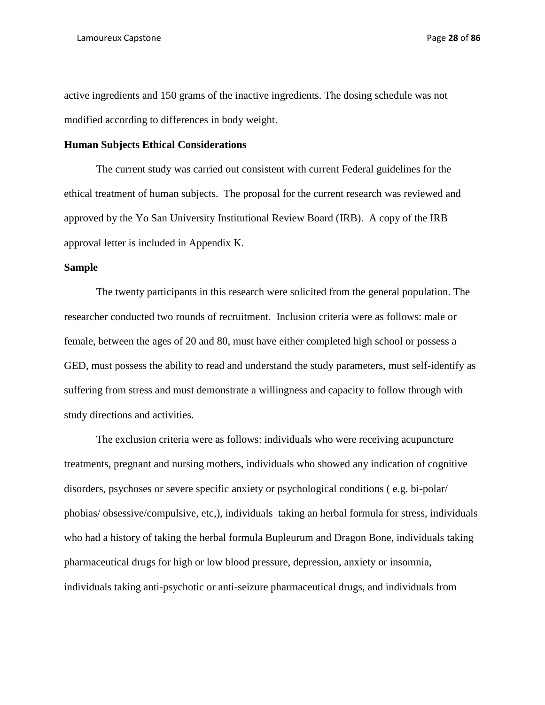active ingredients and 150 grams of the inactive ingredients. The dosing schedule was not modified according to differences in body weight.

# **Human Subjects Ethical Considerations**

The current study was carried out consistent with current Federal guidelines for the ethical treatment of human subjects. The proposal for the current research was reviewed and approved by the Yo San University Institutional Review Board (IRB). A copy of the IRB approval letter is included in Appendix K.

### **Sample**

The twenty participants in this research were solicited from the general population. The researcher conducted two rounds of recruitment. Inclusion criteria were as follows: male or female, between the ages of 20 and 80, must have either completed high school or possess a GED, must possess the ability to read and understand the study parameters, must self-identify as suffering from stress and must demonstrate a willingness and capacity to follow through with study directions and activities.

The exclusion criteria were as follows: individuals who were receiving acupuncture treatments, pregnant and nursing mothers, individuals who showed any indication of cognitive disorders, psychoses or severe specific anxiety or psychological conditions ( e.g. bi-polar/ phobias/ obsessive/compulsive, etc,), individuals taking an herbal formula for stress, individuals who had a history of taking the herbal formula Bupleurum and Dragon Bone, individuals taking pharmaceutical drugs for high or low blood pressure, depression, anxiety or insomnia, individuals taking anti-psychotic or anti-seizure pharmaceutical drugs, and individuals from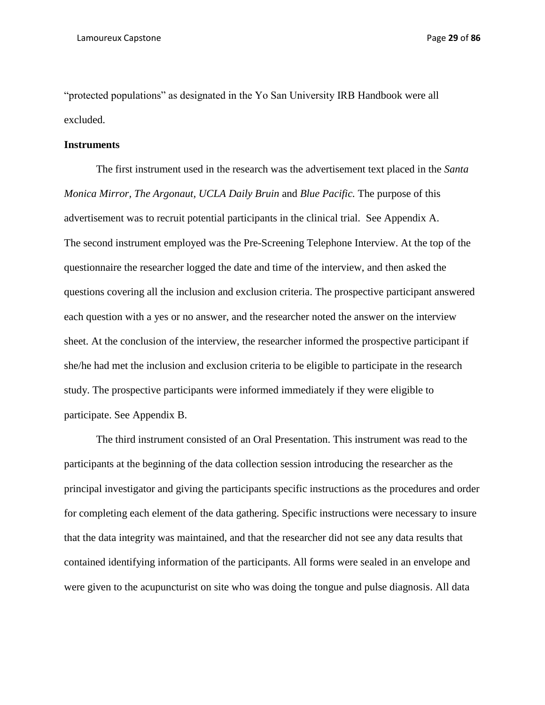"protected populations" as designated in the Yo San University IRB Handbook were all excluded.

# **Instruments**

The first instrument used in the research was the advertisement text placed in the *Santa Monica Mirror, The Argonaut, UCLA Daily Bruin* and *Blue Pacific.* The purpose of this advertisement was to recruit potential participants in the clinical trial. See Appendix A. The second instrument employed was the Pre-Screening Telephone Interview. At the top of the questionnaire the researcher logged the date and time of the interview, and then asked the questions covering all the inclusion and exclusion criteria. The prospective participant answered each question with a yes or no answer, and the researcher noted the answer on the interview sheet. At the conclusion of the interview, the researcher informed the prospective participant if she/he had met the inclusion and exclusion criteria to be eligible to participate in the research study. The prospective participants were informed immediately if they were eligible to participate. See Appendix B.

The third instrument consisted of an Oral Presentation. This instrument was read to the participants at the beginning of the data collection session introducing the researcher as the principal investigator and giving the participants specific instructions as the procedures and order for completing each element of the data gathering. Specific instructions were necessary to insure that the data integrity was maintained, and that the researcher did not see any data results that contained identifying information of the participants. All forms were sealed in an envelope and were given to the acupuncturist on site who was doing the tongue and pulse diagnosis. All data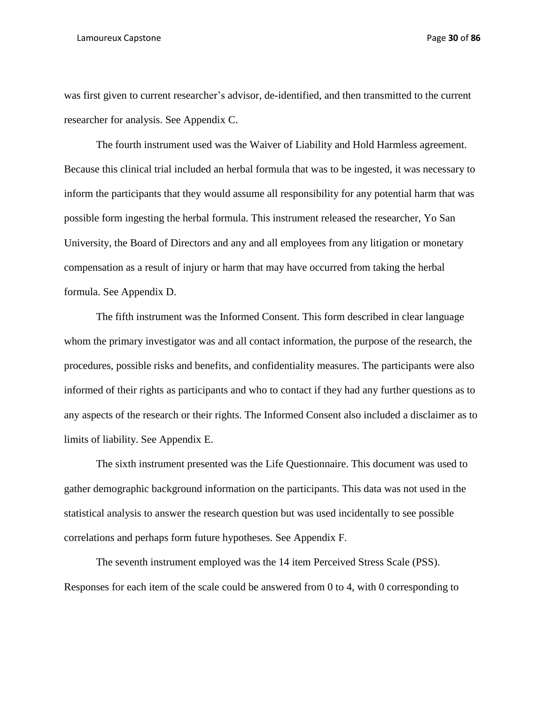#### Lamoureux Capstone Page **30** of **86**

was first given to current researcher's advisor, de-identified, and then transmitted to the current researcher for analysis. See Appendix C.

The fourth instrument used was the Waiver of Liability and Hold Harmless agreement. Because this clinical trial included an herbal formula that was to be ingested, it was necessary to inform the participants that they would assume all responsibility for any potential harm that was possible form ingesting the herbal formula. This instrument released the researcher, Yo San University, the Board of Directors and any and all employees from any litigation or monetary compensation as a result of injury or harm that may have occurred from taking the herbal formula. See Appendix D.

The fifth instrument was the Informed Consent. This form described in clear language whom the primary investigator was and all contact information, the purpose of the research, the procedures, possible risks and benefits, and confidentiality measures. The participants were also informed of their rights as participants and who to contact if they had any further questions as to any aspects of the research or their rights. The Informed Consent also included a disclaimer as to limits of liability. See Appendix E.

The sixth instrument presented was the Life Questionnaire. This document was used to gather demographic background information on the participants. This data was not used in the statistical analysis to answer the research question but was used incidentally to see possible correlations and perhaps form future hypotheses. See Appendix F.

The seventh instrument employed was the 14 item Perceived Stress Scale (PSS). Responses for each item of the scale could be answered from 0 to 4, with 0 corresponding to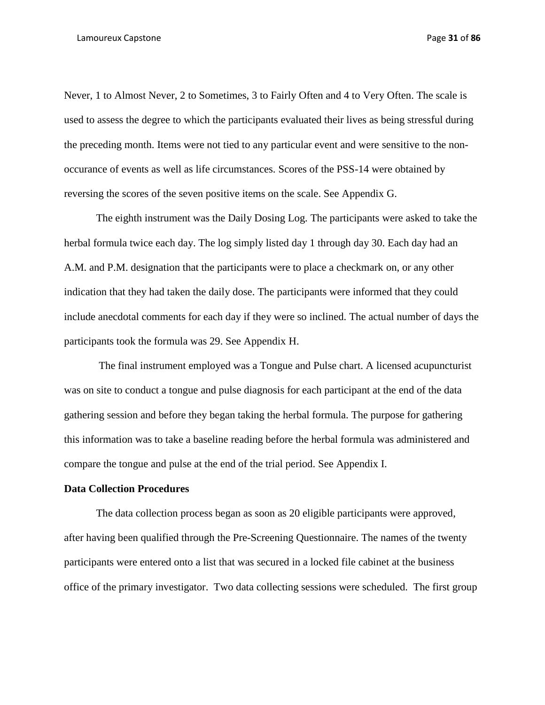Never, 1 to Almost Never, 2 to Sometimes, 3 to Fairly Often and 4 to Very Often. The scale is used to assess the degree to which the participants evaluated their lives as being stressful during the preceding month. Items were not tied to any particular event and were sensitive to the nonoccurance of events as well as life circumstances. Scores of the PSS-14 were obtained by reversing the scores of the seven positive items on the scale. See Appendix G.

The eighth instrument was the Daily Dosing Log. The participants were asked to take the herbal formula twice each day. The log simply listed day 1 through day 30. Each day had an A.M. and P.M. designation that the participants were to place a checkmark on, or any other indication that they had taken the daily dose. The participants were informed that they could include anecdotal comments for each day if they were so inclined. The actual number of days the participants took the formula was 29. See Appendix H.

The final instrument employed was a Tongue and Pulse chart. A licensed acupuncturist was on site to conduct a tongue and pulse diagnosis for each participant at the end of the data gathering session and before they began taking the herbal formula. The purpose for gathering this information was to take a baseline reading before the herbal formula was administered and compare the tongue and pulse at the end of the trial period. See Appendix I.

# **Data Collection Procedures**

The data collection process began as soon as 20 eligible participants were approved, after having been qualified through the Pre-Screening Questionnaire. The names of the twenty participants were entered onto a list that was secured in a locked file cabinet at the business office of the primary investigator. Two data collecting sessions were scheduled. The first group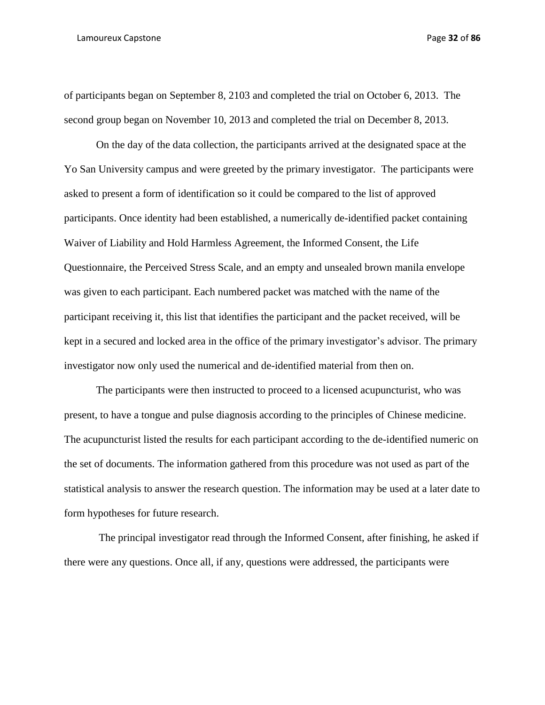#### Lamoureux Capstone Page **32** of **86**

of participants began on September 8, 2103 and completed the trial on October 6, 2013. The second group began on November 10, 2013 and completed the trial on December 8, 2013.

On the day of the data collection, the participants arrived at the designated space at the Yo San University campus and were greeted by the primary investigator. The participants were asked to present a form of identification so it could be compared to the list of approved participants. Once identity had been established, a numerically de-identified packet containing Waiver of Liability and Hold Harmless Agreement, the Informed Consent, the Life Questionnaire, the Perceived Stress Scale, and an empty and unsealed brown manila envelope was given to each participant. Each numbered packet was matched with the name of the participant receiving it, this list that identifies the participant and the packet received, will be kept in a secured and locked area in the office of the primary investigator's advisor. The primary investigator now only used the numerical and de-identified material from then on.

The participants were then instructed to proceed to a licensed acupuncturist, who was present, to have a tongue and pulse diagnosis according to the principles of Chinese medicine. The acupuncturist listed the results for each participant according to the de-identified numeric on the set of documents. The information gathered from this procedure was not used as part of the statistical analysis to answer the research question. The information may be used at a later date to form hypotheses for future research.

The principal investigator read through the Informed Consent, after finishing, he asked if there were any questions. Once all, if any, questions were addressed, the participants were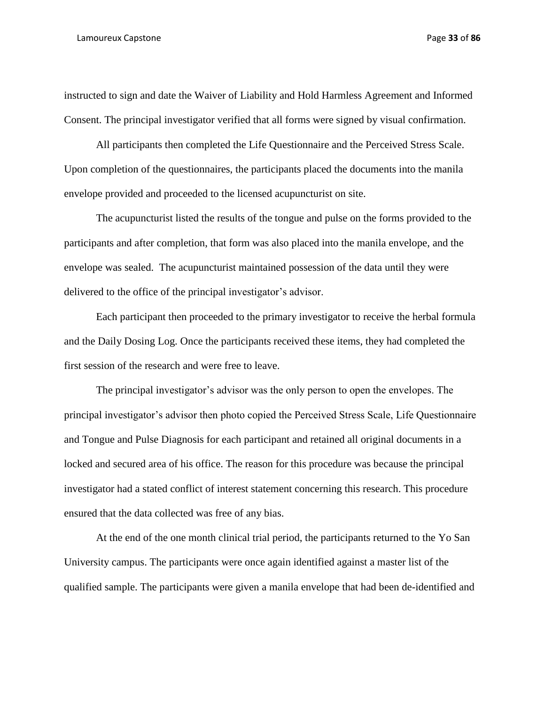instructed to sign and date the Waiver of Liability and Hold Harmless Agreement and Informed Consent. The principal investigator verified that all forms were signed by visual confirmation.

All participants then completed the Life Questionnaire and the Perceived Stress Scale. Upon completion of the questionnaires, the participants placed the documents into the manila envelope provided and proceeded to the licensed acupuncturist on site.

The acupuncturist listed the results of the tongue and pulse on the forms provided to the participants and after completion, that form was also placed into the manila envelope, and the envelope was sealed. The acupuncturist maintained possession of the data until they were delivered to the office of the principal investigator's advisor.

Each participant then proceeded to the primary investigator to receive the herbal formula and the Daily Dosing Log. Once the participants received these items, they had completed the first session of the research and were free to leave.

The principal investigator's advisor was the only person to open the envelopes. The principal investigator's advisor then photo copied the Perceived Stress Scale, Life Questionnaire and Tongue and Pulse Diagnosis for each participant and retained all original documents in a locked and secured area of his office. The reason for this procedure was because the principal investigator had a stated conflict of interest statement concerning this research. This procedure ensured that the data collected was free of any bias.

At the end of the one month clinical trial period, the participants returned to the Yo San University campus. The participants were once again identified against a master list of the qualified sample. The participants were given a manila envelope that had been de-identified and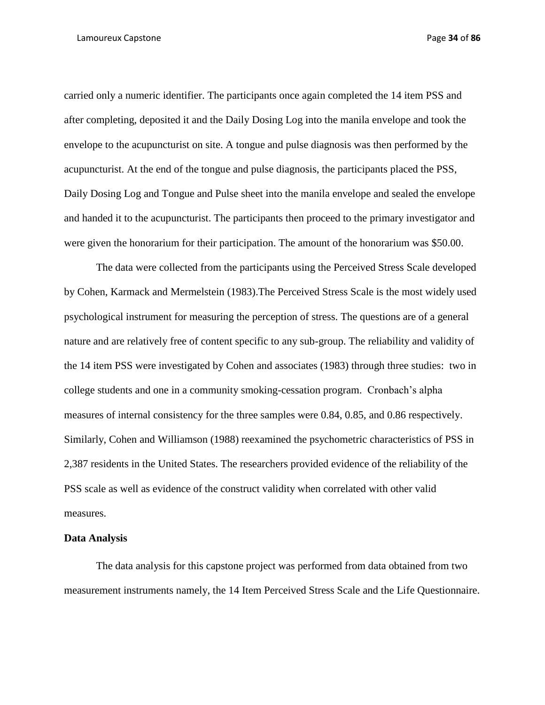#### Lamoureux Capstone Page **34** of **86**

carried only a numeric identifier. The participants once again completed the 14 item PSS and after completing, deposited it and the Daily Dosing Log into the manila envelope and took the envelope to the acupuncturist on site. A tongue and pulse diagnosis was then performed by the acupuncturist. At the end of the tongue and pulse diagnosis, the participants placed the PSS, Daily Dosing Log and Tongue and Pulse sheet into the manila envelope and sealed the envelope and handed it to the acupuncturist. The participants then proceed to the primary investigator and were given the honorarium for their participation. The amount of the honorarium was \$50.00.

The data were collected from the participants using the Perceived Stress Scale developed by Cohen, Karmack and Mermelstein (1983).The Perceived Stress Scale is the most widely used psychological instrument for measuring the perception of stress. The questions are of a general nature and are relatively free of content specific to any sub-group. The reliability and validity of the 14 item PSS were investigated by Cohen and associates (1983) through three studies: two in college students and one in a community smoking-cessation program. Cronbach's alpha measures of internal consistency for the three samples were 0.84, 0.85, and 0.86 respectively. Similarly, Cohen and Williamson (1988) reexamined the psychometric characteristics of PSS in 2,387 residents in the United States. The researchers provided evidence of the reliability of the PSS scale as well as evidence of the construct validity when correlated with other valid measures.

# **Data Analysis**

The data analysis for this capstone project was performed from data obtained from two measurement instruments namely, the 14 Item Perceived Stress Scale and the Life Questionnaire.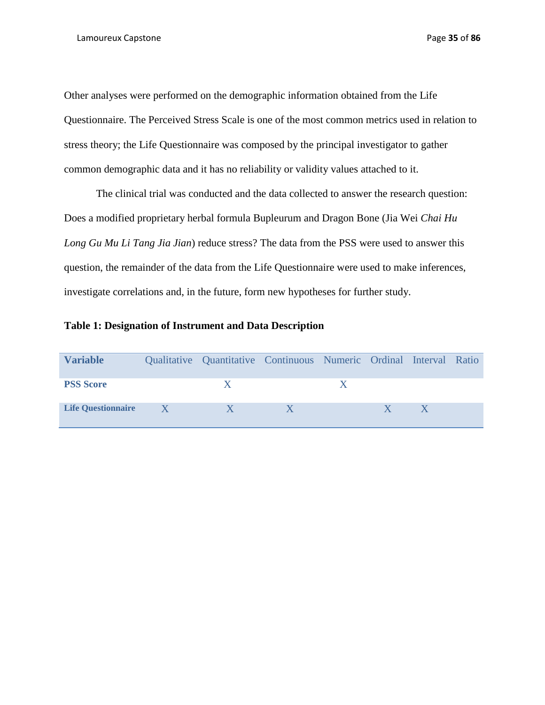Other analyses were performed on the demographic information obtained from the Life Questionnaire. The Perceived Stress Scale is one of the most common metrics used in relation to stress theory; the Life Questionnaire was composed by the principal investigator to gather common demographic data and it has no reliability or validity values attached to it.

The clinical trial was conducted and the data collected to answer the research question: Does a modified proprietary herbal formula Bupleurum and Dragon Bone (Jia Wei *Chai Hu Long Gu Mu Li Tang Jia Jian*) reduce stress? The data from the PSS were used to answer this question, the remainder of the data from the Life Questionnaire were used to make inferences, investigate correlations and, in the future, form new hypotheses for further study.

# **Table 1: Designation of Instrument and Data Description**

| <b>Variable</b>           | Qualitative Quantitative Continuous Numeric Ordinal Interval Ratio |  |  |  |
|---------------------------|--------------------------------------------------------------------|--|--|--|
| <b>PSS Score</b>          |                                                                    |  |  |  |
| <b>Life Ouestionnaire</b> |                                                                    |  |  |  |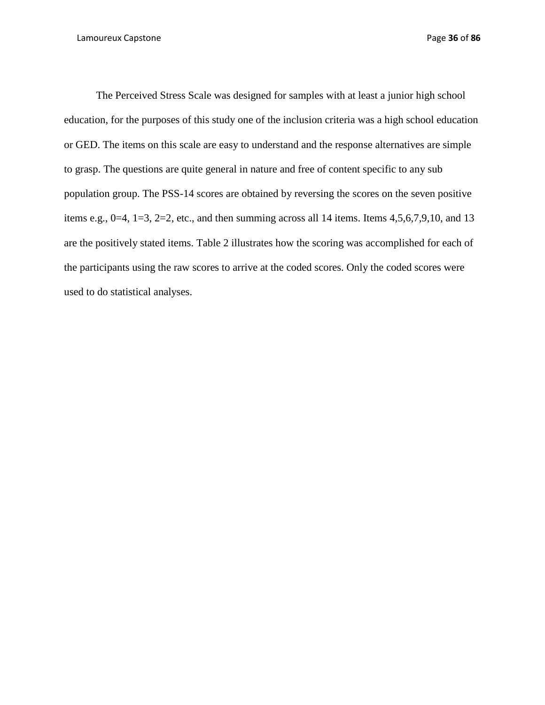The Perceived Stress Scale was designed for samples with at least a junior high school education, for the purposes of this study one of the inclusion criteria was a high school education or GED. The items on this scale are easy to understand and the response alternatives are simple to grasp. The questions are quite general in nature and free of content specific to any sub population group. The PSS-14 scores are obtained by reversing the scores on the seven positive items e.g.,  $0=4$ ,  $1=3$ ,  $2=2$ , etc., and then summing across all 14 items. Items 4,5,6,7,9,10, and 13 are the positively stated items. Table 2 illustrates how the scoring was accomplished for each of the participants using the raw scores to arrive at the coded scores. Only the coded scores were used to do statistical analyses.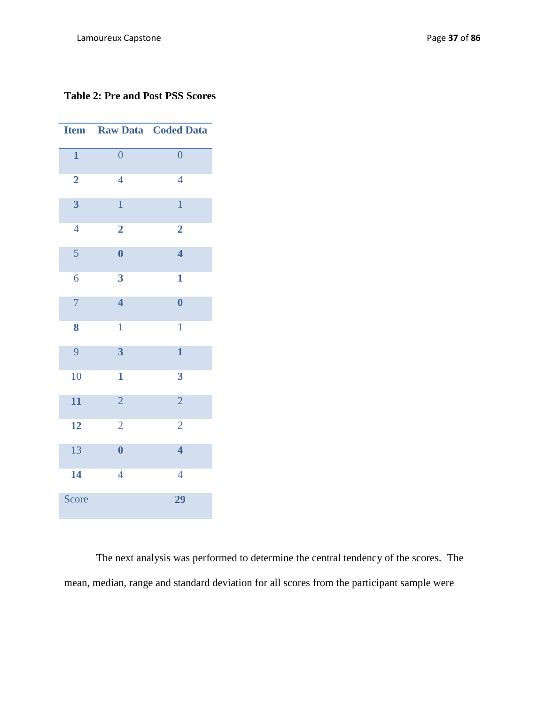# **Table 2: Pre and Post PSS Scores**

| <b>Item</b>             |                         | <b>Raw Data Coded Data</b> |
|-------------------------|-------------------------|----------------------------|
| $\mathbf{1}$            | $\overline{0}$          | $\overline{0}$             |
| $\overline{2}$          | $\overline{4}$          | $\overline{4}$             |
| $\overline{\mathbf{3}}$ | $\mathbf{1}$            | $\mathbf{1}$               |
| $\overline{4}$          | $\overline{\mathbf{2}}$ | $\overline{2}$             |
| 5                       | $\overline{\mathbf{0}}$ | $\overline{\mathbf{4}}$    |
| 6                       | $\overline{\mathbf{3}}$ | $\mathbf{1}$               |
| $\overline{7}$          | $\overline{\mathbf{4}}$ | $\boldsymbol{0}$           |
| 8                       | $\mathbf{1}$            | $\mathbf{1}$               |
| 9                       | $\overline{\mathbf{3}}$ | $\mathbf{1}$               |
| 10                      | $\mathbf{1}$            | $\overline{\mathbf{3}}$    |
| 11                      | $\overline{2}$          | $\overline{2}$             |
| 12                      | $\overline{c}$          | $\overline{2}$             |
| 13                      | $\overline{\mathbf{0}}$ | $\overline{\mathbf{4}}$    |
| 14                      | $\overline{4}$          | $\overline{4}$             |
| Score                   |                         | 29                         |

The next analysis was performed to determine the central tendency of the scores. The mean, median, range and standard deviation for all scores from the participant sample were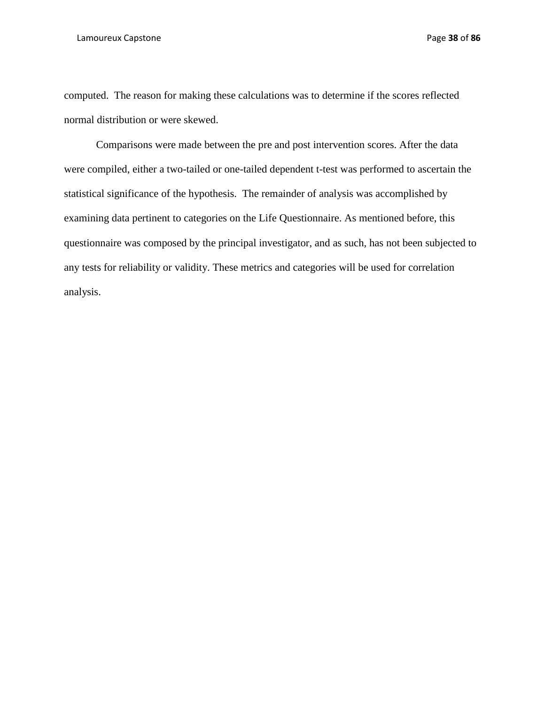#### Lamoureux Capstone Page **38** of **86**

computed. The reason for making these calculations was to determine if the scores reflected normal distribution or were skewed.

Comparisons were made between the pre and post intervention scores. After the data were compiled, either a two-tailed or one-tailed dependent t-test was performed to ascertain the statistical significance of the hypothesis. The remainder of analysis was accomplished by examining data pertinent to categories on the Life Questionnaire. As mentioned before, this questionnaire was composed by the principal investigator, and as such, has not been subjected to any tests for reliability or validity. These metrics and categories will be used for correlation analysis.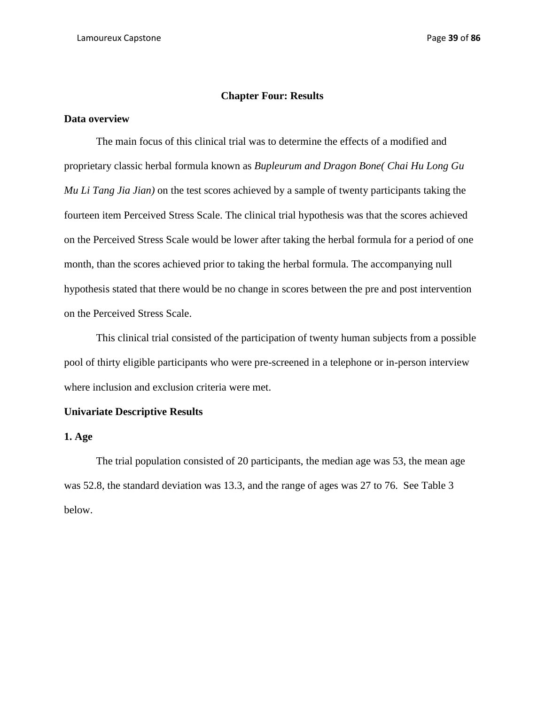#### **Chapter Four: Results**

## **Data overview**

The main focus of this clinical trial was to determine the effects of a modified and proprietary classic herbal formula known as *Bupleurum and Dragon Bone( Chai Hu Long Gu Mu Li Tang Jia Jian)* on the test scores achieved by a sample of twenty participants taking the fourteen item Perceived Stress Scale. The clinical trial hypothesis was that the scores achieved on the Perceived Stress Scale would be lower after taking the herbal formula for a period of one month, than the scores achieved prior to taking the herbal formula. The accompanying null hypothesis stated that there would be no change in scores between the pre and post intervention on the Perceived Stress Scale.

This clinical trial consisted of the participation of twenty human subjects from a possible pool of thirty eligible participants who were pre-screened in a telephone or in-person interview where inclusion and exclusion criteria were met.

## **Univariate Descriptive Results**

## **1. Age**

The trial population consisted of 20 participants, the median age was 53, the mean age was 52.8, the standard deviation was 13.3, and the range of ages was 27 to 76. See Table 3 below.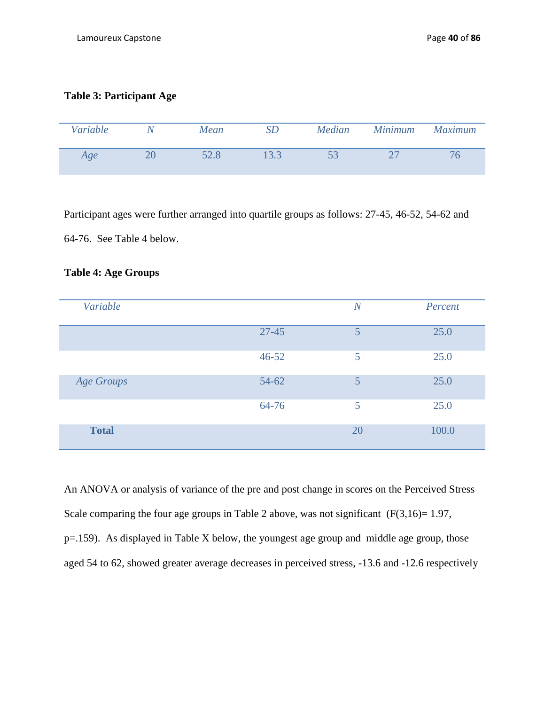# **Table 3: Participant Age**

| Variable | N | <b>Mean</b> | Median | <b>Minimum</b> | <b>Maximum</b> |
|----------|---|-------------|--------|----------------|----------------|
| Age      |   |             |        |                | $\sqrt{6}$     |

Participant ages were further arranged into quartile groups as follows: 27-45, 46-52, 54-62 and 64-76. See Table 4 below.

# **Table 4: Age Groups**

| Variable          |           | N  | Percent |
|-------------------|-----------|----|---------|
|                   | $27 - 45$ | 5  | 25.0    |
|                   | $46 - 52$ | 5  | 25.0    |
| <b>Age Groups</b> | $54 - 62$ | 5  | 25.0    |
|                   | 64-76     | 5  | 25.0    |
| <b>Total</b>      |           | 20 | 100.0   |

An ANOVA or analysis of variance of the pre and post change in scores on the Perceived Stress Scale comparing the four age groups in Table 2 above, was not significant  $(F(3,16)=1.97,$ p=.159). As displayed in Table X below, the youngest age group and middle age group, those aged 54 to 62, showed greater average decreases in perceived stress, -13.6 and -12.6 respectively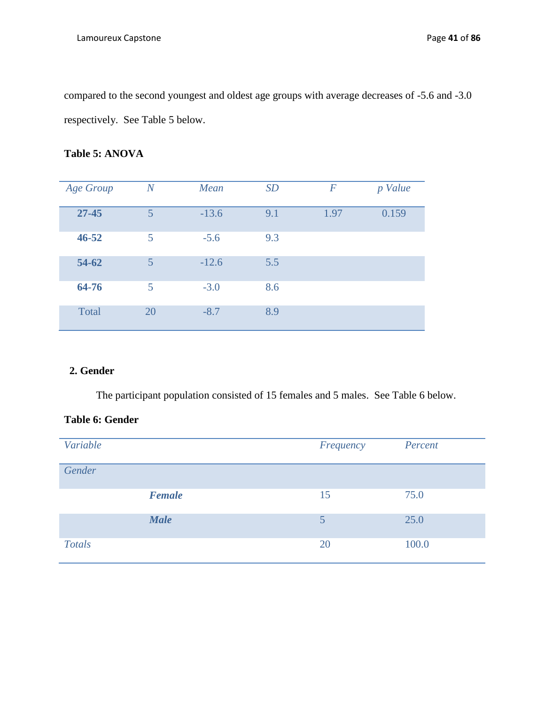compared to the second youngest and oldest age groups with average decreases of -5.6 and -3.0 respectively. See Table 5 below.

# **Table 5: ANOVA**

| Age Group | $\overline{N}$ | Mean    | SD  | $\boldsymbol{F}$ | p Value |
|-----------|----------------|---------|-----|------------------|---------|
|           |                |         |     |                  |         |
| $27 - 45$ | 5              | $-13.6$ | 9.1 | 1.97             | 0.159   |
| $46 - 52$ | 5              | $-5.6$  | 9.3 |                  |         |
| 54-62     | 5              | $-12.6$ | 5.5 |                  |         |
| 64-76     | 5              | $-3.0$  | 8.6 |                  |         |
| Total     | 20             | $-8.7$  | 8.9 |                  |         |

# **2. Gender**

The participant population consisted of 15 females and 5 males. See Table 6 below.

# **Table 6: Gender**

| Variable      |               | Frequency | Percent |
|---------------|---------------|-----------|---------|
| Gender        |               |           |         |
|               | <b>Female</b> | 15        | 75.0    |
|               | <b>Male</b>   | 5         | 25.0    |
| <b>Totals</b> |               | 20        | 100.0   |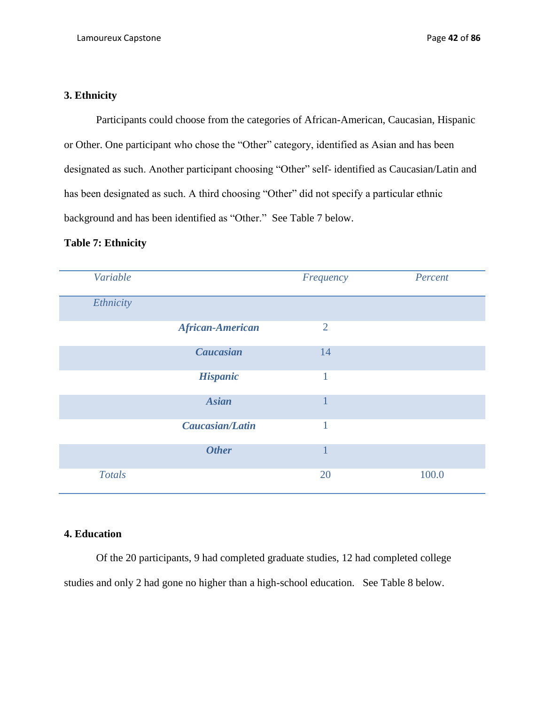# **3. Ethnicity**

Participants could choose from the categories of African-American, Caucasian, Hispanic or Other. One participant who chose the "Other" category, identified as Asian and has been designated as such. Another participant choosing "Other" self- identified as Caucasian/Latin and has been designated as such. A third choosing "Other" did not specify a particular ethnic background and has been identified as "Other." See Table 7 below.

## **Table 7: Ethnicity**

| Variable      |                         | Frequency      | Percent |
|---------------|-------------------------|----------------|---------|
| Ethnicity     |                         |                |         |
|               | <b>African-American</b> | $\overline{2}$ |         |
|               | Caucasian               | 14             |         |
|               | <b>Hispanic</b>         | 1              |         |
|               | <b>Asian</b>            | $\mathbf{1}$   |         |
|               | <b>Caucasian/Latin</b>  | 1              |         |
|               | <b>Other</b>            | 1              |         |
| <b>Totals</b> |                         | 20             | 100.0   |

## **4. Education**

Of the 20 participants, 9 had completed graduate studies, 12 had completed college studies and only 2 had gone no higher than a high-school education. See Table 8 below.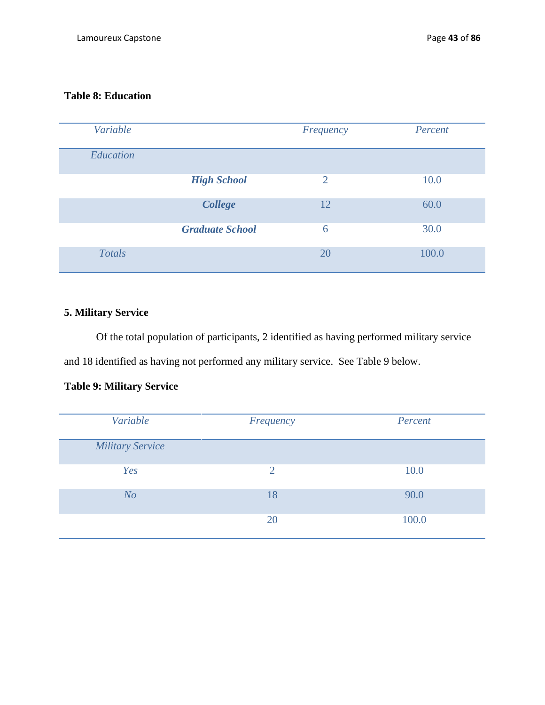# **Table 8: Education**

| Variable      |                        | Frequency      | Percent |
|---------------|------------------------|----------------|---------|
| Education     |                        |                |         |
|               | <b>High School</b>     | $\overline{2}$ | 10.0    |
|               | College                | 12             | 60.0    |
|               | <b>Graduate School</b> | 6              | 30.0    |
| <b>Totals</b> |                        | 20             | 100.0   |

# **5. Military Service**

Of the total population of participants, 2 identified as having performed military service and 18 identified as having not performed any military service. See Table 9 below.

# **Table 9: Military Service**

| Variable                | Frequency      | Percent |
|-------------------------|----------------|---------|
| <b>Military Service</b> |                |         |
| Yes                     | $\overline{2}$ | 10.0    |
| N <sub>O</sub>          | 18             | 90.0    |
|                         | 20             | 100.0   |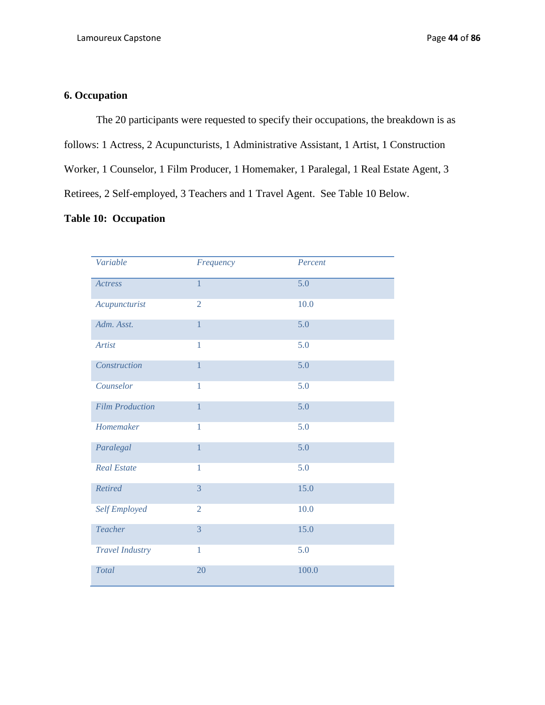# **6. Occupation**

The 20 participants were requested to specify their occupations, the breakdown is as follows: 1 Actress, 2 Acupuncturists, 1 Administrative Assistant, 1 Artist, 1 Construction Worker, 1 Counselor, 1 Film Producer, 1 Homemaker, 1 Paralegal, 1 Real Estate Agent, 3 Retirees, 2 Self-employed, 3 Teachers and 1 Travel Agent. See Table 10 Below.

# **Table 10: Occupation**

| Variable               | Frequency      | Percent          |
|------------------------|----------------|------------------|
| Actress                | $\overline{1}$ | $\overline{5.0}$ |
| Acupuncturist          | $\overline{2}$ | 10.0             |
| Adm. Asst.             | $\overline{1}$ | 5.0              |
| <b>Artist</b>          | $\mathbf{1}$   | 5.0              |
| Construction           | 1              | 5.0              |
| Counselor              | 1              | 5.0              |
| <b>Film Production</b> | $\mathbf{1}$   | 5.0              |
| Homemaker              | 1              | 5.0              |
| Paralegal              | $\mathbf{1}$   | 5.0              |
| <b>Real Estate</b>     | 1              | 5.0              |
| Retired                | 3              | 15.0             |
| Self Employed          | $\overline{2}$ | 10.0             |
| <b>Teacher</b>         | 3              | 15.0             |
| <b>Travel Industry</b> | $\mathbf{1}$   | 5.0              |
| <b>Total</b>           | 20             | 100.0            |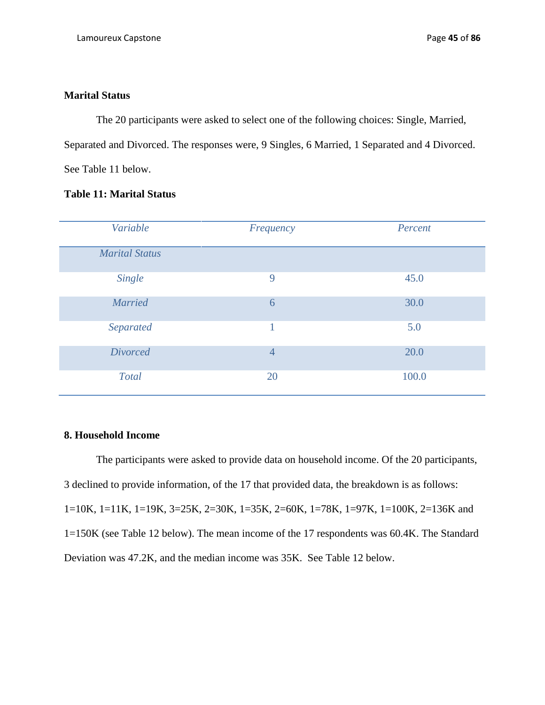# **Marital Status**

The 20 participants were asked to select one of the following choices: Single, Married, Separated and Divorced. The responses were, 9 Singles, 6 Married, 1 Separated and 4 Divorced. See Table 11 below.

# **Table 11: Marital Status**

| Variable              | Frequency      | Percent |
|-----------------------|----------------|---------|
| <b>Marital Status</b> |                |         |
| Single                | 9              | 45.0    |
| <b>Married</b>        | 6              | 30.0    |
| Separated             | 1              | 5.0     |
| <b>Divorced</b>       | $\overline{4}$ | 20.0    |
| Total                 | 20             | 100.0   |

# **8. Household Income**

The participants were asked to provide data on household income. Of the 20 participants, 3 declined to provide information, of the 17 that provided data, the breakdown is as follows: 1=10K, 1=11K, 1=19K, 3=25K, 2=30K, 1=35K, 2=60K, 1=78K, 1=97K, 1=100K, 2=136K and 1=150K (see Table 12 below). The mean income of the 17 respondents was 60.4K. The Standard Deviation was 47.2K, and the median income was 35K. See Table 12 below.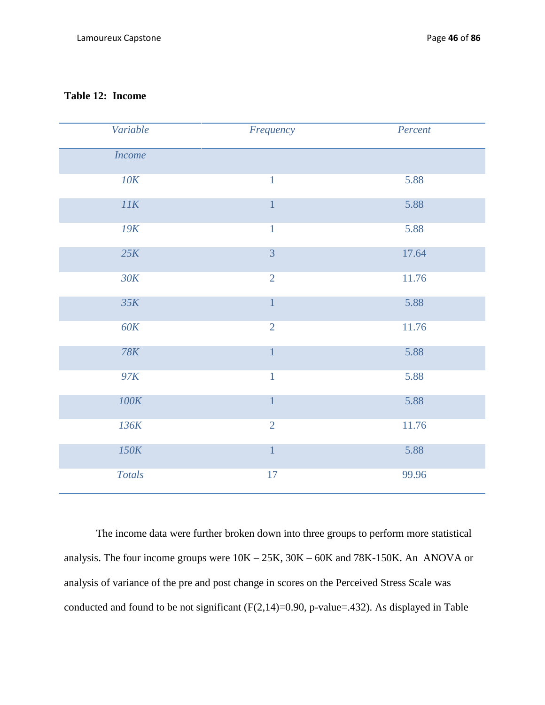# **Table 12: Income**

| Variable                    | Frequency      | Percent |
|-----------------------------|----------------|---------|
| <b>Income</b>               |                |         |
| 10K                         | $\mathbf{1}$   | 5.88    |
| $\ensuremath{\textit{I1K}}$ | $\mathbf{1}$   | 5.88    |
| 19K                         | $\mathbf{1}$   | 5.88    |
| 25K                         | $\overline{3}$ | 17.64   |
| 30K                         | $\overline{2}$ | 11.76   |
| 35K                         | $\overline{1}$ | 5.88    |
| 60K                         | $\overline{2}$ | 11.76   |
| 78K                         | $\overline{1}$ | 5.88    |
| 97K                         | $\mathbf{1}$   | 5.88    |
| 100K                        | $\overline{1}$ | 5.88    |
| 136K                        | $\overline{2}$ | 11.76   |
| 150K                        | $\overline{1}$ | 5.88    |
| <b>Totals</b>               | 17             | 99.96   |

The income data were further broken down into three groups to perform more statistical analysis. The four income groups were 10K – 25K, 30K – 60K and 78K-150K. An ANOVA or analysis of variance of the pre and post change in scores on the Perceived Stress Scale was conducted and found to be not significant  $(F(2,14)=0.90, p-value=.432)$ . As displayed in Table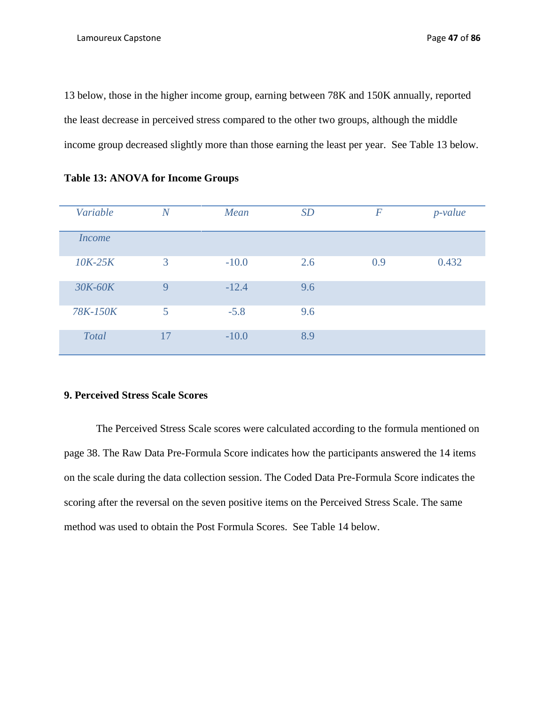13 below, those in the higher income group, earning between 78K and 150K annually, reported the least decrease in perceived stress compared to the other two groups, although the middle income group decreased slightly more than those earning the least per year. See Table 13 below.

| Variable     | $\overline{N}$ | Mean    | SD  | $\boldsymbol{F}$ | $p$ -value |
|--------------|----------------|---------|-----|------------------|------------|
| Income       |                |         |     |                  |            |
| $10K-25K$    | 3              | $-10.0$ | 2.6 | 0.9              | 0.432      |
| 30K-60K      | 9              | $-12.4$ | 9.6 |                  |            |
| 78K-150K     | $\overline{5}$ | $-5.8$  | 9.6 |                  |            |
| <b>Total</b> | 17             | $-10.0$ | 8.9 |                  |            |

**Table 13: ANOVA for Income Groups**

## **9. Perceived Stress Scale Scores**

The Perceived Stress Scale scores were calculated according to the formula mentioned on page 38. The Raw Data Pre-Formula Score indicates how the participants answered the 14 items on the scale during the data collection session. The Coded Data Pre-Formula Score indicates the scoring after the reversal on the seven positive items on the Perceived Stress Scale. The same method was used to obtain the Post Formula Scores. See Table 14 below.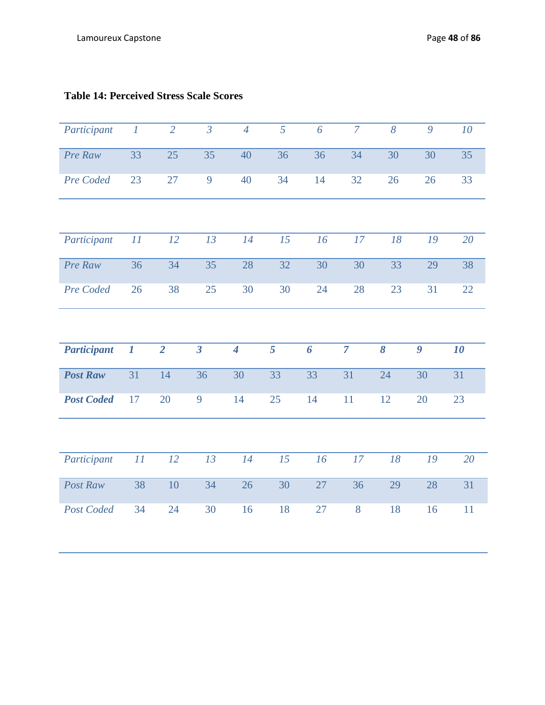| Participant        | $\boldsymbol{I}$ | $\overline{2}$ | $\overline{\overline{3}}$ | $\overline{4}$ | $\overline{5}$  | 6  | $\overline{7}$ | 8        | 9                | 10 |
|--------------------|------------------|----------------|---------------------------|----------------|-----------------|----|----------------|----------|------------------|----|
| Pre Raw            | 33               | 25             | 35                        | 40             | 36              | 36 | 34             | 30       | 30               | 35 |
| Pre Coded          | 23               | 27             | 9                         | 40             | 34              | 14 | 32             | 26       | 26               | 33 |
|                    |                  |                |                           |                |                 |    |                |          |                  |    |
| Participant        | $\bar{I}I$       | 12             | 13                        | 14             | $\overline{15}$ | 16 | 17             | 18       | 19               | 20 |
| Pre Raw            | 36               | 34             | 35                        | 28             | 32              | 30 | 30             | 33       | 29               | 38 |
| Pre Coded          | 26               | 38             | 25                        | 30             | 30              | 24 | 28             | 23       | 31               | 22 |
|                    |                  |                |                           |                |                 |    |                |          |                  |    |
|                    |                  |                |                           |                |                 |    |                |          |                  |    |
| <b>Participant</b> | $\boldsymbol{l}$ | $\overline{2}$ | $\overline{\mathbf{3}}$   | $\overline{4}$ | 5               | 6  | $\overline{7}$ | $\delta$ | $\boldsymbol{g}$ | 10 |
| <b>Post Raw</b>    | 31               | 14             | 36                        | 30             | 33              | 33 | 31             | 24       | 30               | 31 |
| <b>Post Coded</b>  | 17               | 20             | 9                         | 14             | 25              | 14 | 11             | 12       | 20               | 23 |
|                    |                  |                |                           |                |                 |    |                |          |                  |    |
| Participant        | $\cal{H}$        | 12             | 13                        | 14             | 15              | 16 | 17             | 18       | 19               | 20 |
| Post Raw           | 38               | 10             | 34                        | 26             | 30              | 27 | 36             | 29       | 28               | 31 |

# **Table 14: Perceived Stress Scale Scores**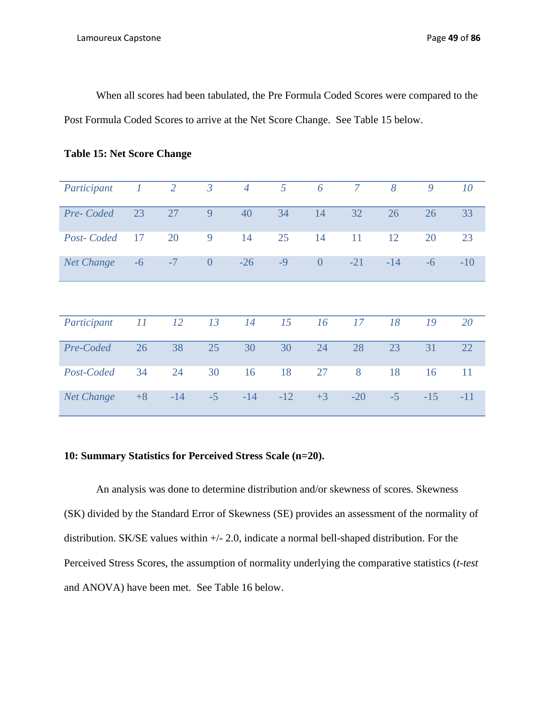When all scores had been tabulated, the Pre Formula Coded Scores were compared to the Post Formula Coded Scores to arrive at the Net Score Change. See Table 15 below.

| Participant       |      | $\overline{2}$ | $\mathfrak{Z}$ | $\overline{4}$ | 5     | 6              | $\overline{7}$ | 8     | 9     | 10    |
|-------------------|------|----------------|----------------|----------------|-------|----------------|----------------|-------|-------|-------|
| Pre-Coded         | 23   | 27             | 9              | 40             | 34    | 14             | 32             | 26    | 26    | 33    |
| Post-Coded        | 17   | 20             | 9              | 14             | 25    | 14             | 11             | 12    | 20    | 23    |
| <b>Net Change</b> | $-6$ | $-7$           | $\overline{0}$ | $-26$          | $-9$  | $\overline{0}$ | $-21$          | $-14$ | $-6$  | $-10$ |
|                   |      |                |                |                |       |                |                |       |       |       |
| Participant       | 11   | 12             | 13             | 14             | 15    | 16             | 17             | 18    | 19    | 20    |
| Pre-Coded         | 26   | 38             | 25             | 30             | 30    | 24             | 28             | 23    | 31    | 22    |
| Post-Coded        | 34   | 24             | 30             | 16             | 18    | 27             | 8              | 18    | 16    | 11    |
| <b>Net Change</b> | $+8$ | $-14$          | $-5$           | $-14$          | $-12$ | $+3$           | $-20$          | $-5$  | $-15$ | $-11$ |

|  | <b>Table 15: Net Score Change</b> |  |
|--|-----------------------------------|--|
|--|-----------------------------------|--|

# **10: Summary Statistics for Perceived Stress Scale (n=20).**

An analysis was done to determine distribution and/or skewness of scores. Skewness (SK) divided by the Standard Error of Skewness (SE) provides an assessment of the normality of distribution. SK/SE values within +/- 2.0, indicate a normal bell-shaped distribution. For the Perceived Stress Scores, the assumption of normality underlying the comparative statistics (*t-test*  and ANOVA) have been met. See Table 16 below.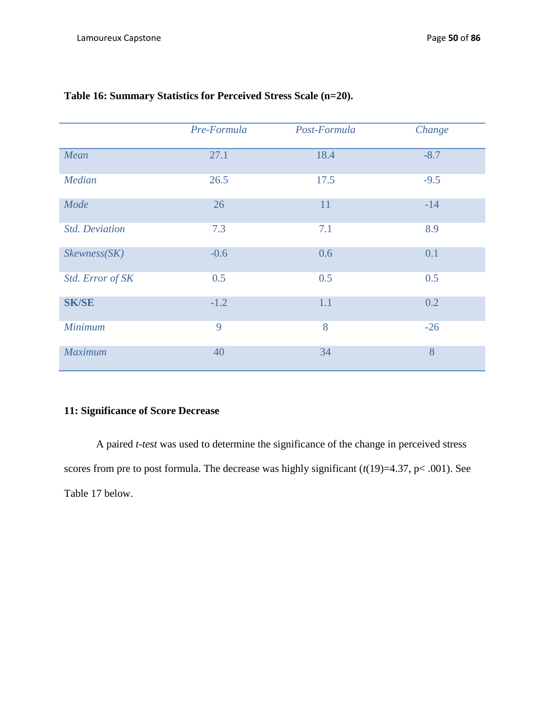|                       | Pre-Formula | Post-Formula | Change |
|-----------------------|-------------|--------------|--------|
| Mean                  | 27.1        | 18.4         | $-8.7$ |
| Median                | 26.5        | 17.5         | $-9.5$ |
| Mode                  | 26          | 11           | $-14$  |
| <b>Std. Deviation</b> | 7.3         | 7.1          | 8.9    |
| Skewness(SK)          | $-0.6$      | 0.6          | 0.1    |
| Std. Error of SK      | 0.5         | 0.5          | 0.5    |
| <b>SK/SE</b>          | $-1.2$      | 1.1          | 0.2    |
| <b>Minimum</b>        | 9           | 8            | $-26$  |
| <b>Maximum</b>        | 40          | 34           | 8      |

# **Table 16: Summary Statistics for Perceived Stress Scale (n=20).**

# **11: Significance of Score Decrease**

A paired *t-test* was used to determine the significance of the change in perceived stress scores from pre to post formula. The decrease was highly significant  $(t(19)=4.37, p<.001)$ . See Table 17 below.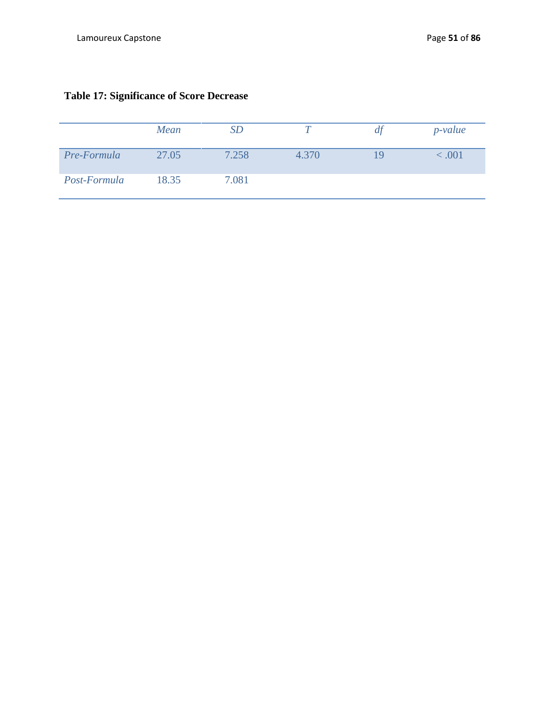|              | Mean  | SD    |       | аt | $p$ -value |
|--------------|-------|-------|-------|----|------------|
| Pre-Formula  | 27.05 | 7.258 | 4.370 | 19 | <.001      |
| Post-Formula | 18.35 | 7.081 |       |    |            |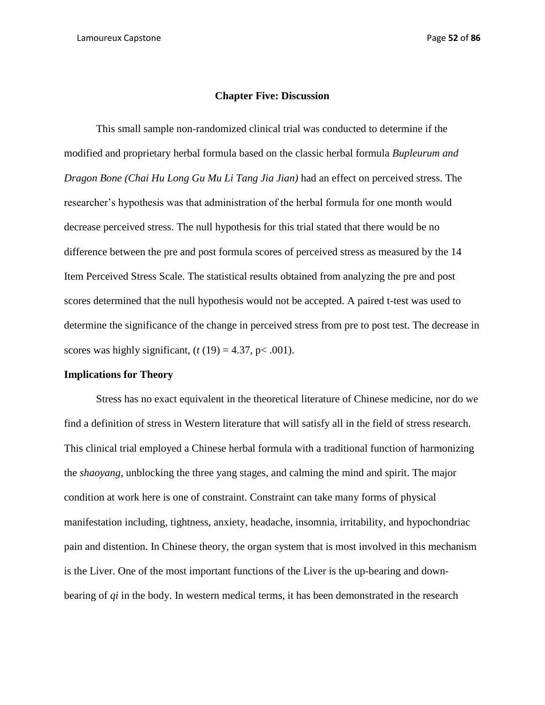#### **Chapter Five: Discussion**

This small sample non-randomized clinical trial was conducted to determine if the modified and proprietary herbal formula based on the classic herbal formula *Bupleurum and Dragon Bone (Chai Hu Long Gu Mu Li Tang Jia Jian)* had an effect on perceived stress. The researcher's hypothesis was that administration of the herbal formula for one month would decrease perceived stress. The null hypothesis for this trial stated that there would be no difference between the pre and post formula scores of perceived stress as measured by the 14 Item Perceived Stress Scale. The statistical results obtained from analyzing the pre and post scores determined that the null hypothesis would not be accepted. A paired t-test was used to determine the significance of the change in perceived stress from pre to post test. The decrease in scores was highly significant,  $(t(19) = 4.37, p < .001)$ .

#### **Implications for Theory**

Stress has no exact equivalent in the theoretical literature of Chinese medicine, nor do we find a definition of stress in Western literature that will satisfy all in the field of stress research. This clinical trial employed a Chinese herbal formula with a traditional function of harmonizing the *shaoyang,* unblocking the three yang stages, and calming the mind and spirit. The major condition at work here is one of constraint. Constraint can take many forms of physical manifestation including, tightness, anxiety, headache, insomnia, irritability, and hypochondriac pain and distention. In Chinese theory, the organ system that is most involved in this mechanism is the Liver. One of the most important functions of the Liver is the up-bearing and downbearing of *qi* in the body. In western medical terms, it has been demonstrated in the research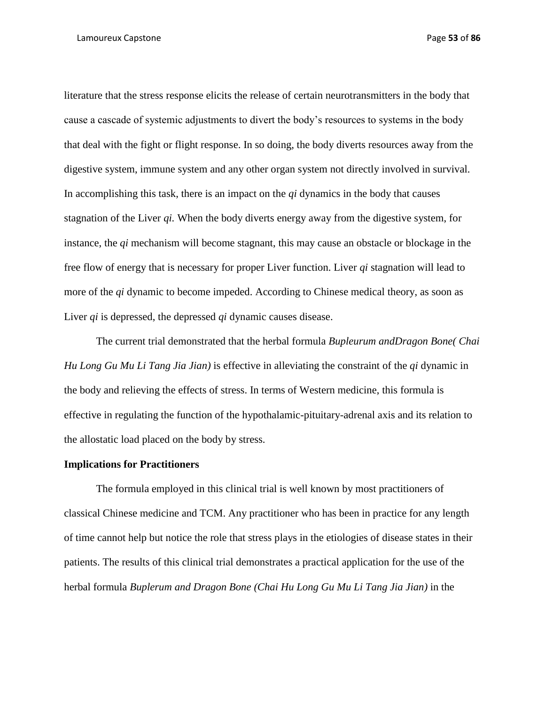literature that the stress response elicits the release of certain neurotransmitters in the body that cause a cascade of systemic adjustments to divert the body's resources to systems in the body that deal with the fight or flight response. In so doing, the body diverts resources away from the digestive system, immune system and any other organ system not directly involved in survival. In accomplishing this task, there is an impact on the *qi* dynamics in the body that causes stagnation of the Liver *qi.* When the body diverts energy away from the digestive system, for instance, the *qi* mechanism will become stagnant, this may cause an obstacle or blockage in the free flow of energy that is necessary for proper Liver function. Liver *qi* stagnation will lead to more of the *qi* dynamic to become impeded. According to Chinese medical theory, as soon as Liver *qi* is depressed, the depressed *qi* dynamic causes disease.

The current trial demonstrated that the herbal formula *Bupleurum andDragon Bone( Chai Hu Long Gu Mu Li Tang Jia Jian)* is effective in alleviating the constraint of the *qi* dynamic in the body and relieving the effects of stress. In terms of Western medicine, this formula is effective in regulating the function of the hypothalamic-pituitary-adrenal axis and its relation to the allostatic load placed on the body by stress.

#### **Implications for Practitioners**

The formula employed in this clinical trial is well known by most practitioners of classical Chinese medicine and TCM. Any practitioner who has been in practice for any length of time cannot help but notice the role that stress plays in the etiologies of disease states in their patients. The results of this clinical trial demonstrates a practical application for the use of the herbal formula *Buplerum and Dragon Bone (Chai Hu Long Gu Mu Li Tang Jia Jian)* in the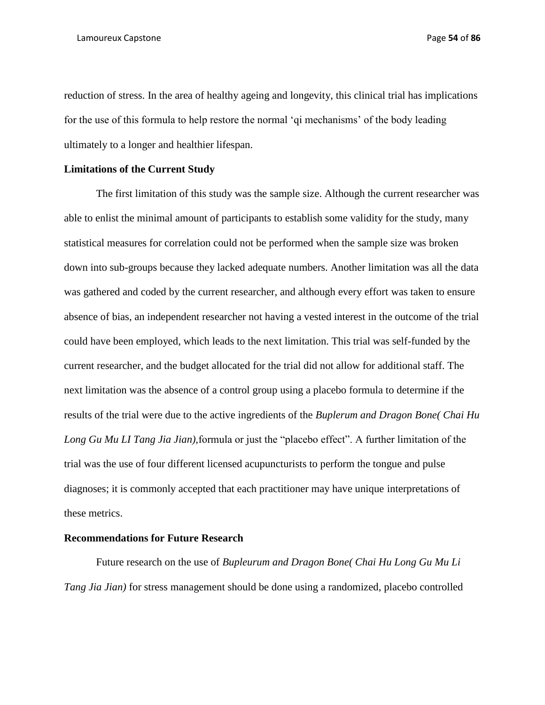reduction of stress. In the area of healthy ageing and longevity, this clinical trial has implications for the use of this formula to help restore the normal 'qi mechanisms' of the body leading ultimately to a longer and healthier lifespan.

## **Limitations of the Current Study**

The first limitation of this study was the sample size. Although the current researcher was able to enlist the minimal amount of participants to establish some validity for the study, many statistical measures for correlation could not be performed when the sample size was broken down into sub-groups because they lacked adequate numbers. Another limitation was all the data was gathered and coded by the current researcher, and although every effort was taken to ensure absence of bias, an independent researcher not having a vested interest in the outcome of the trial could have been employed, which leads to the next limitation. This trial was self-funded by the current researcher, and the budget allocated for the trial did not allow for additional staff. The next limitation was the absence of a control group using a placebo formula to determine if the results of the trial were due to the active ingredients of the *Buplerum and Dragon Bone( Chai Hu Long Gu Mu LI Tang Jia Jian),*formula or just the "placebo effect". A further limitation of the trial was the use of four different licensed acupuncturists to perform the tongue and pulse diagnoses; it is commonly accepted that each practitioner may have unique interpretations of these metrics.

#### **Recommendations for Future Research**

Future research on the use of *Bupleurum and Dragon Bone( Chai Hu Long Gu Mu Li Tang Jia Jian)* for stress management should be done using a randomized, placebo controlled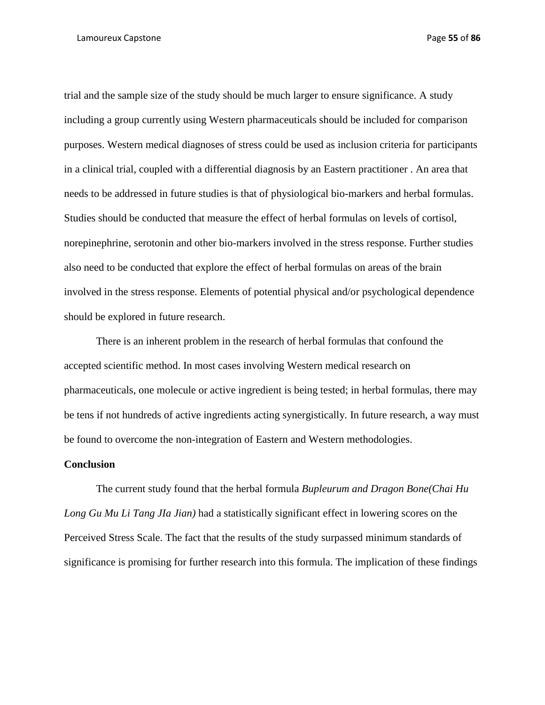trial and the sample size of the study should be much larger to ensure significance. A study including a group currently using Western pharmaceuticals should be included for comparison purposes. Western medical diagnoses of stress could be used as inclusion criteria for participants in a clinical trial, coupled with a differential diagnosis by an Eastern practitioner . An area that needs to be addressed in future studies is that of physiological bio-markers and herbal formulas. Studies should be conducted that measure the effect of herbal formulas on levels of cortisol, norepinephrine, serotonin and other bio-markers involved in the stress response. Further studies also need to be conducted that explore the effect of herbal formulas on areas of the brain involved in the stress response. Elements of potential physical and/or psychological dependence should be explored in future research.

There is an inherent problem in the research of herbal formulas that confound the accepted scientific method. In most cases involving Western medical research on pharmaceuticals, one molecule or active ingredient is being tested; in herbal formulas, there may be tens if not hundreds of active ingredients acting synergistically. In future research, a way must be found to overcome the non-integration of Eastern and Western methodologies.

#### **Conclusion**

The current study found that the herbal formula *Bupleurum and Dragon Bone(Chai Hu Long Gu Mu Li Tang JIa Jian)* had a statistically significant effect in lowering scores on the Perceived Stress Scale. The fact that the results of the study surpassed minimum standards of significance is promising for further research into this formula. The implication of these findings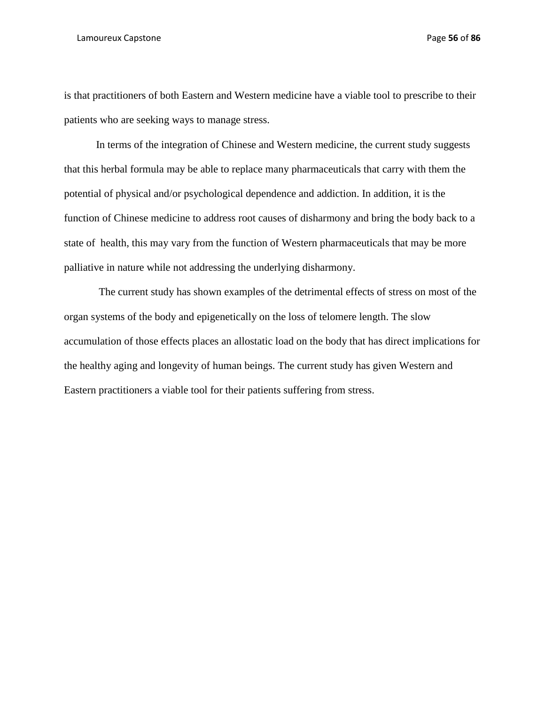#### Lamoureux Capstone Page **56** of **86**

is that practitioners of both Eastern and Western medicine have a viable tool to prescribe to their patients who are seeking ways to manage stress.

In terms of the integration of Chinese and Western medicine, the current study suggests that this herbal formula may be able to replace many pharmaceuticals that carry with them the potential of physical and/or psychological dependence and addiction. In addition, it is the function of Chinese medicine to address root causes of disharmony and bring the body back to a state of health, this may vary from the function of Western pharmaceuticals that may be more palliative in nature while not addressing the underlying disharmony.

The current study has shown examples of the detrimental effects of stress on most of the organ systems of the body and epigenetically on the loss of telomere length. The slow accumulation of those effects places an allostatic load on the body that has direct implications for the healthy aging and longevity of human beings. The current study has given Western and Eastern practitioners a viable tool for their patients suffering from stress.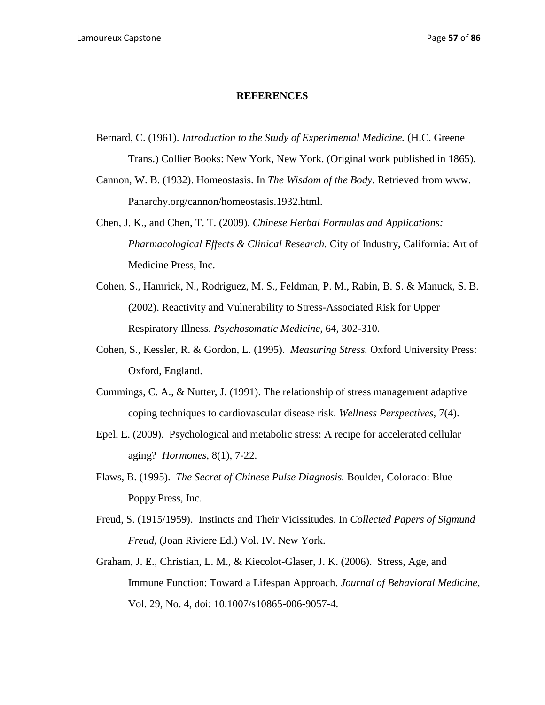#### **REFERENCES**

Bernard, C. (1961). *Introduction to the Study of Experimental Medicine.* (H.C. Greene Trans.) Collier Books: New York, New York. (Original work published in 1865).

Cannon, W. B. (1932). Homeostasis. In *The Wisdom of the Body*. Retrieved from www. Panarchy.org/cannon/homeostasis.1932.html.

- Chen, J. K., and Chen, T. T. (2009). *Chinese Herbal Formulas and Applications: Pharmacological Effects & Clinical Research.* City of Industry, California: Art of Medicine Press, Inc.
- Cohen, S., Hamrick, N., Rodriguez, M. S., Feldman, P. M., Rabin, B. S. & Manuck, S. B. (2002). Reactivity and Vulnerability to Stress-Associated Risk for Upper Respiratory Illness. *Psychosomatic Medicine,* 64, 302-310.
- Cohen, S., Kessler, R. & Gordon, L. (1995). *Measuring Stress.* Oxford University Press: Oxford, England.
- Cummings, C. A., & Nutter, J. (1991). The relationship of stress management adaptive coping techniques to cardiovascular disease risk. *Wellness Perspectives,* 7(4).
- Epel, E. (2009). Psychological and metabolic stress: A recipe for accelerated cellular aging? *Hormones,* 8(1), 7-22.
- Flaws, B. (1995). *The Secret of Chinese Pulse Diagnosis.* Boulder, Colorado: Blue Poppy Press, Inc.
- Freud, S. (1915/1959). Instincts and Their Vicissitudes. In *Collected Papers of Sigmund Freud,* (Joan Riviere Ed.) Vol. IV. New York.
- Graham, J. E., Christian, L. M., & Kiecolot-Glaser, J. K. (2006). Stress, Age, and Immune Function: Toward a Lifespan Approach. *Journal of Behavioral Medicine,* Vol. 29, No. 4, doi: 10.1007/s10865-006-9057-4.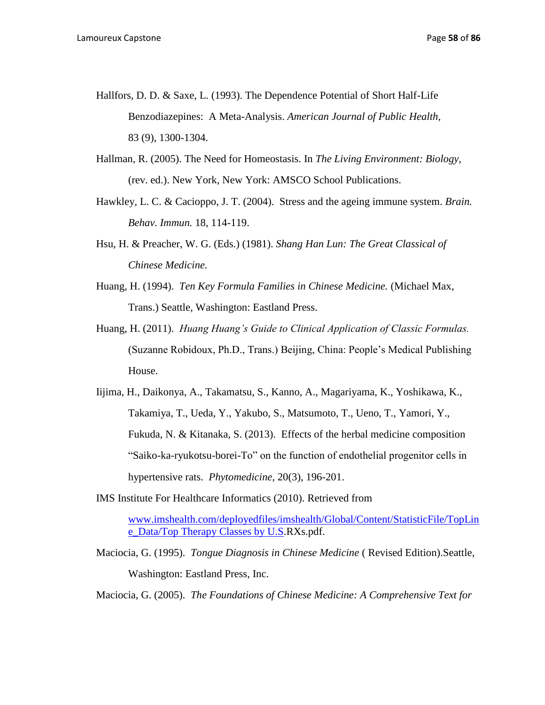- Hallfors, D. D. & Saxe, L. (1993). The Dependence Potential of Short Half-Life Benzodiazepines: A Meta-Analysis. *American Journal of Public Health,*  83 (9), 1300-1304.
- Hallman, R. (2005). The Need for Homeostasis. In *The Living Environment: Biology,* (rev. ed.). New York, New York: AMSCO School Publications.
- Hawkley, L. C. & Cacioppo, J. T. (2004). Stress and the ageing immune system. *Brain. Behav. Immun.* 18, 114-119.
- Hsu, H. & Preacher, W. G. (Eds.) (1981). *Shang Han Lun: The Great Classical of Chinese Medicine.*
- Huang, H. (1994). *Ten Key Formula Families in Chinese Medicine.* (Michael Max, Trans.) Seattle, Washington: Eastland Press.
- Huang, H. (2011). *Huang Huang's Guide to Clinical Application of Classic Formulas.*  (Suzanne Robidoux, Ph.D., Trans.) Beijing, China: People's Medical Publishing House.
- Iijima, H., Daikonya, A., Takamatsu, S., Kanno, A., Magariyama, K., Yoshikawa, K., Takamiya, T., Ueda, Y., Yakubo, S., Matsumoto, T., Ueno, T., Yamori, Y., Fukuda, N. & Kitanaka, S. (2013). Effects of the herbal medicine composition "Saiko-ka-ryukotsu-borei-To" on the function of endothelial progenitor cells in hypertensive rats. *Phytomedicine,* 20(3), 196-201.
- IMS Institute For Healthcare Informatics (2010). Retrieved from

[www.imshealth.com/deployedfiles/imshealth/Global/Content/StatisticFile/TopLin](http://www.imshealth.com/deployedfiles/imshealth/Global/Content/StatisticFile/TopLine_Data/Top%20Therapy%20Classes%20by%20U.S) [e\\_Data/Top Therapy Classes by U.S.](http://www.imshealth.com/deployedfiles/imshealth/Global/Content/StatisticFile/TopLine_Data/Top%20Therapy%20Classes%20by%20U.S)RXs.pdf.

Maciocia, G. (1995). *Tongue Diagnosis in Chinese Medicine* ( Revised Edition).Seattle, Washington: Eastland Press, Inc.

Maciocia, G. (2005). *The Foundations of Chinese Medicine: A Comprehensive Text for*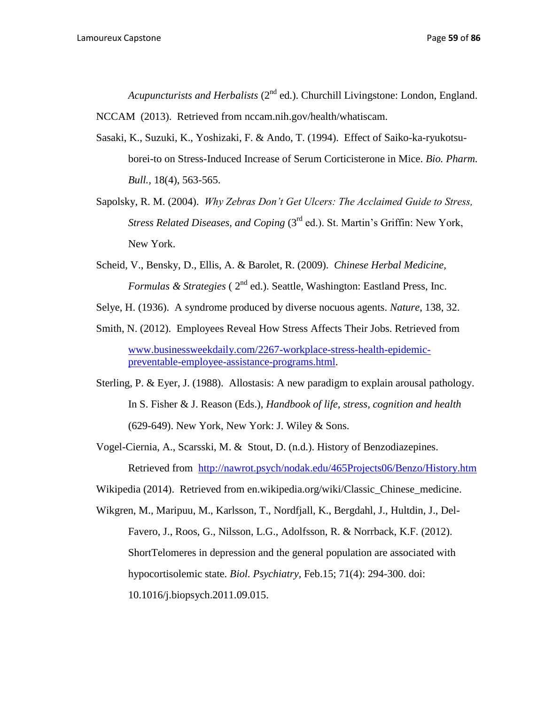*Acupuncturists and Herbalists* (2<sup>nd</sup> ed.). Churchill Livingstone: London, England.

NCCAM (2013). Retrieved from nccam.nih.gov/health/whatiscam.

- Sasaki, K., Suzuki, K., Yoshizaki, F. & Ando, T. (1994). Effect of Saiko-ka-ryukotsuborei-to on Stress-Induced Increase of Serum Corticisterone in Mice. *Bio. Pharm. Bull.,* 18(4), 563-565.
- Sapolsky, R. M. (2004). *Why Zebras Don't Get Ulcers: The Acclaimed Guide to Stress, Stress Related Diseases, and Coping (3<sup>rd</sup> ed.). St. Martin's Griffin: New York,* New York.
- Scheid, V., Bensky, D., Ellis, A. & Barolet, R. (2009). *Chinese Herbal Medicine, Formulas & Strategies* (  $2<sup>nd</sup>$  ed.). Seattle, Washington: Eastland Press, Inc.

Selye, H. (1936). A syndrome produced by diverse nocuous agents. *Nature*, 138, 32.

- Smith, N. (2012). Employees Reveal How Stress Affects Their Jobs. Retrieved from [www.businessweekdaily.com/2267-workplace-stress-health-epidemic](http://www.businessweekdaily.com/2267-workplace-stress-health-epidemic-preventable-employee-assistance-programs.html)[preventable-employee-assistance-programs.html.](http://www.businessweekdaily.com/2267-workplace-stress-health-epidemic-preventable-employee-assistance-programs.html)
- Sterling, P. & Eyer, J. (1988). Allostasis: A new paradigm to explain arousal pathology. In S. Fisher & J. Reason (Eds.), *Handbook of life, stress, cognition and health* (629-649). New York, New York: J. Wiley & Sons.
- Vogel-Ciernia, A., Scarsski, M. & Stout, D. (n.d.). History of Benzodiazepines. Retrieved from <http://nawrot.psych/nodak.edu/465Projects06/Benzo/History.htm>
- Wikipedia (2014). Retrieved from en.wikipedia.org/wiki/Classic\_Chinese\_medicine.
- Wikgren, M., Maripuu, M., Karlsson, T., Nordfjall, K., Bergdahl, J., Hultdin, J., Del-Favero, J., Roos, G., Nilsson, L.G., Adolfsson, R. & Norrback, K.F. (2012). ShortTelomeres in depression and the general population are associated with hypocortisolemic state. *Biol. Psychiatry,* Feb.15; 71(4): 294-300. doi: 10.1016/j.biopsych.2011.09.015.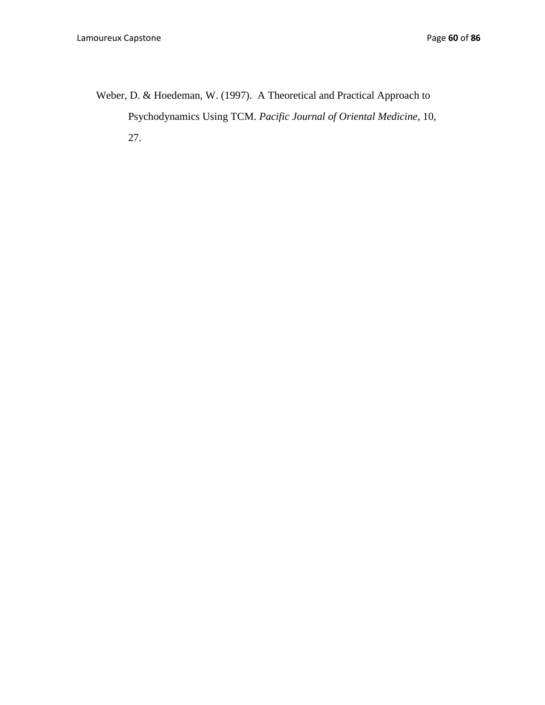Weber, D. & Hoedeman, W. (1997). A Theoretical and Practical Approach to Psychodynamics Using TCM. *Pacific Journal of Oriental Medicine*, 10, 27.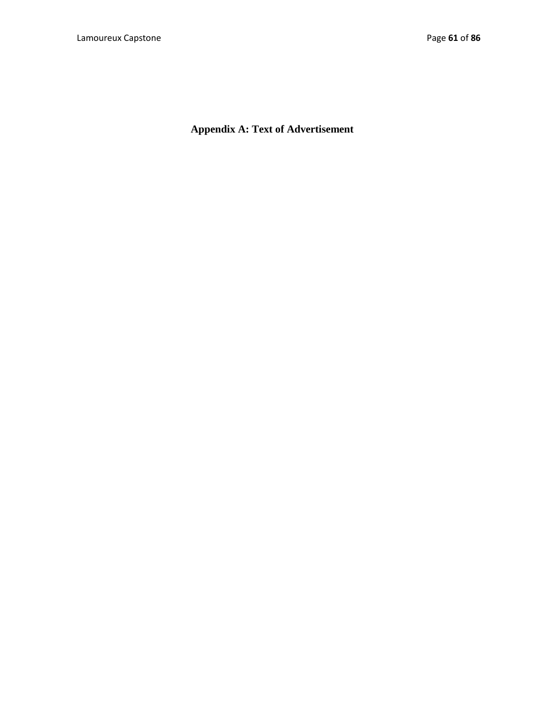**Appendix A: Text of Advertisement**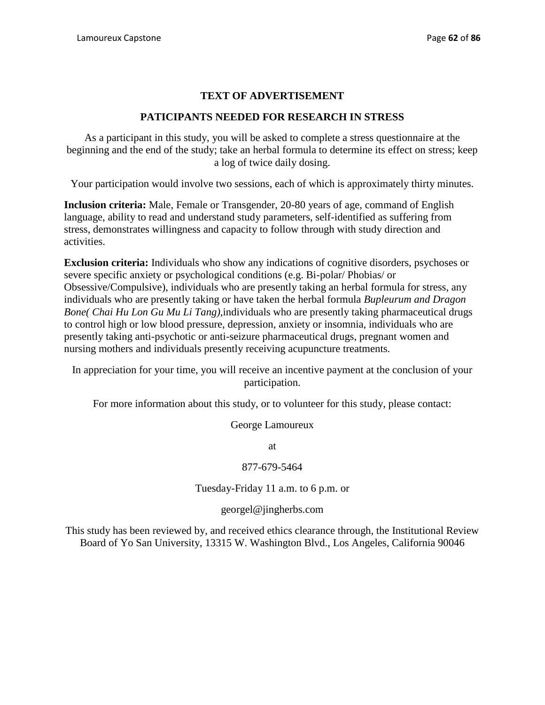# **TEXT OF ADVERTISEMENT**

# **PATICIPANTS NEEDED FOR RESEARCH IN STRESS**

As a participant in this study, you will be asked to complete a stress questionnaire at the beginning and the end of the study; take an herbal formula to determine its effect on stress; keep a log of twice daily dosing.

Your participation would involve two sessions, each of which is approximately thirty minutes.

**Inclusion criteria:** Male, Female or Transgender, 20-80 years of age, command of English language, ability to read and understand study parameters, self-identified as suffering from stress, demonstrates willingness and capacity to follow through with study direction and activities.

**Exclusion criteria:** Individuals who show any indications of cognitive disorders, psychoses or severe specific anxiety or psychological conditions (e.g. Bi-polar/ Phobias/ or Obsessive/Compulsive), individuals who are presently taking an herbal formula for stress, any individuals who are presently taking or have taken the herbal formula *Bupleurum and Dragon Bone( Chai Hu Lon Gu Mu Li Tang),*individuals who are presently taking pharmaceutical drugs to control high or low blood pressure, depression, anxiety or insomnia, individuals who are presently taking anti-psychotic or anti-seizure pharmaceutical drugs, pregnant women and nursing mothers and individuals presently receiving acupuncture treatments.

In appreciation for your time, you will receive an incentive payment at the conclusion of your participation.

For more information about this study, or to volunteer for this study, please contact:

George Lamoureux

at

# 877-679-5464

Tuesday-Friday 11 a.m. to 6 p.m. or

georgel@jingherbs.com

This study has been reviewed by, and received ethics clearance through, the Institutional Review Board of Yo San University, 13315 W. Washington Blvd., Los Angeles, California 90046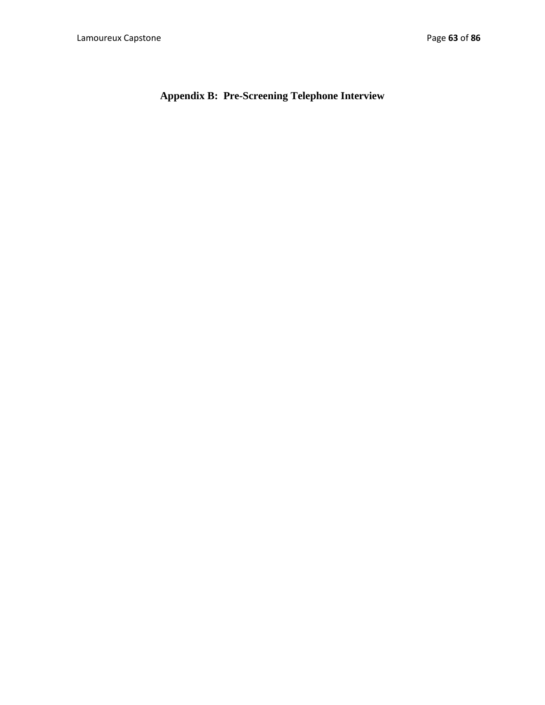**Appendix B: Pre-Screening Telephone Interview**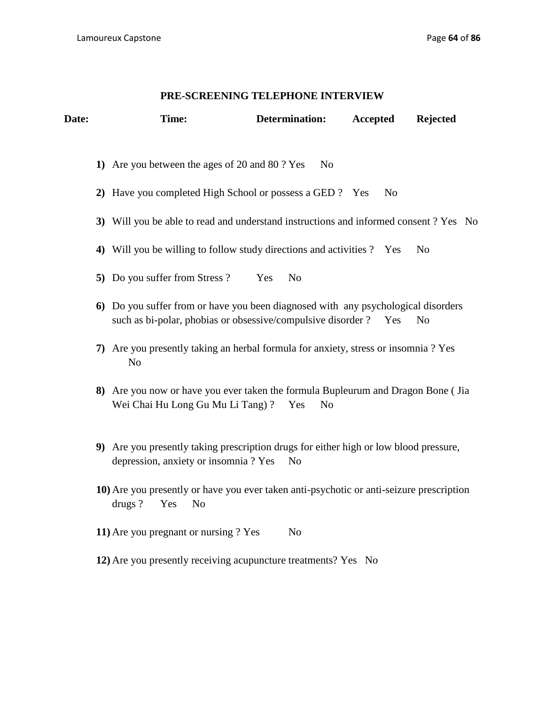# **PRE-SCREENING TELEPHONE INTERVIEW**

| Date: | Time:                                                                                                                                             |     | <b>Determination:</b> | <b>Accepted</b> | <b>Rejected</b> |
|-------|---------------------------------------------------------------------------------------------------------------------------------------------------|-----|-----------------------|-----------------|-----------------|
|       | 1) Are you between the ages of 20 and 80 ? Yes                                                                                                    |     | N <sub>o</sub>        |                 |                 |
|       | 2) Have you completed High School or possess a GED ? Yes                                                                                          |     |                       | N <sub>0</sub>  |                 |
|       | 3) Will you be able to read and understand instructions and informed consent ? Yes No                                                             |     |                       |                 |                 |
|       | 4) Will you be willing to follow study directions and activities ? Yes                                                                            |     |                       |                 | N <sub>o</sub>  |
|       | 5) Do you suffer from Stress?                                                                                                                     | Yes | N <sub>o</sub>        |                 |                 |
|       | 6) Do you suffer from or have you been diagnosed with any psychological disorders<br>such as bi-polar, phobias or obsessive/compulsive disorder ? |     |                       | Yes             | N <sub>o</sub>  |
|       | 7) Are you presently taking an herbal formula for anxiety, stress or insomnia ? Yes<br>N <sub>o</sub>                                             |     |                       |                 |                 |
|       | 8) Are you now or have you ever taken the formula Bupleurum and Dragon Bone (Jia<br>Wei Chai Hu Long Gu Mu Li Tang)?                              |     | N <sub>o</sub><br>Yes |                 |                 |
|       | 9) Are you presently taking prescription drugs for either high or low blood pressure,<br>depression, anxiety or insomnia ? Yes                    |     | N <sub>0</sub>        |                 |                 |
|       | 10) Are you presently or have you ever taken anti-psychotic or anti-seizure prescription<br>drugs?<br>Yes<br>N <sub>o</sub>                       |     |                       |                 |                 |
|       | 11) Are you pregnant or nursing ? Yes                                                                                                             |     | N <sub>o</sub>        |                 |                 |
|       | 12) Are you presently receiving acupuncture treatments? Yes No                                                                                    |     |                       |                 |                 |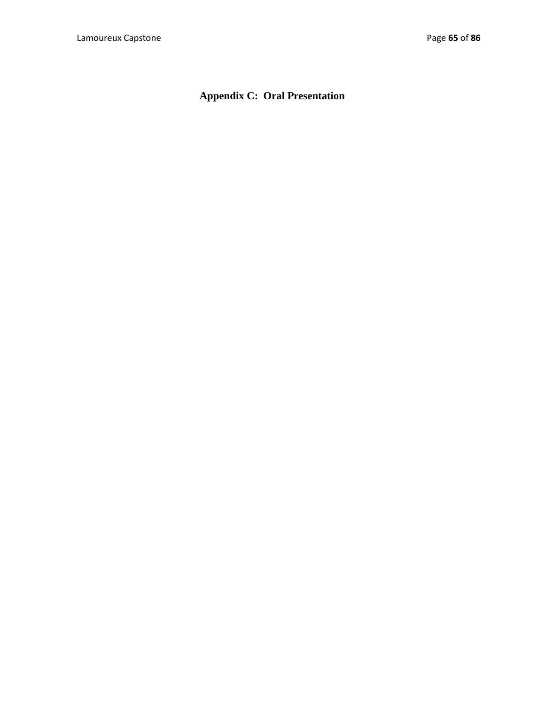# **Appendix C: Oral Presentation**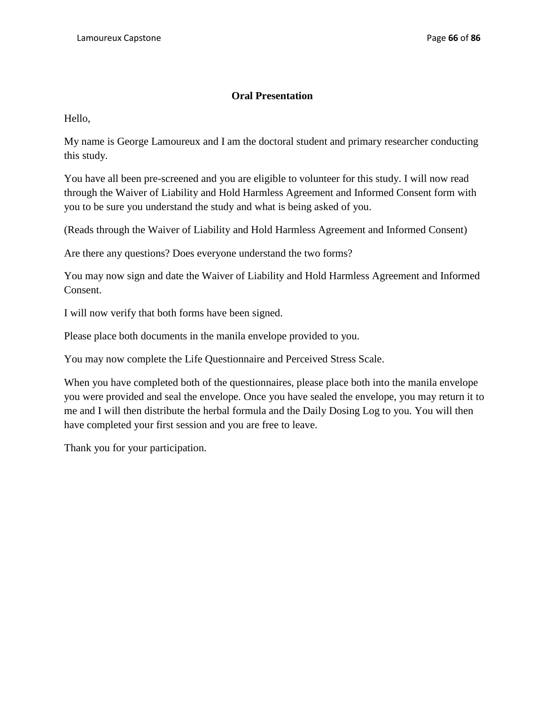# **Oral Presentation**

Hello,

My name is George Lamoureux and I am the doctoral student and primary researcher conducting this study.

You have all been pre-screened and you are eligible to volunteer for this study. I will now read through the Waiver of Liability and Hold Harmless Agreement and Informed Consent form with you to be sure you understand the study and what is being asked of you.

(Reads through the Waiver of Liability and Hold Harmless Agreement and Informed Consent)

Are there any questions? Does everyone understand the two forms?

You may now sign and date the Waiver of Liability and Hold Harmless Agreement and Informed Consent.

I will now verify that both forms have been signed.

Please place both documents in the manila envelope provided to you.

You may now complete the Life Questionnaire and Perceived Stress Scale.

When you have completed both of the questionnaires, please place both into the manila envelope you were provided and seal the envelope. Once you have sealed the envelope, you may return it to me and I will then distribute the herbal formula and the Daily Dosing Log to you. You will then have completed your first session and you are free to leave.

Thank you for your participation.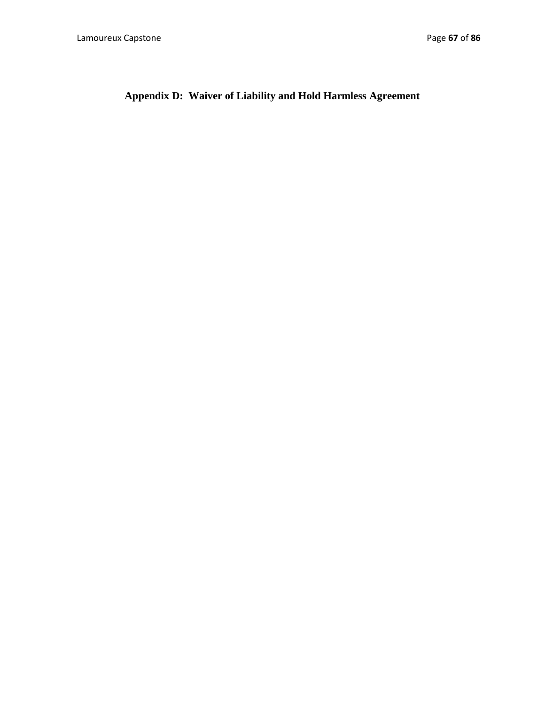# **Appendix D: Waiver of Liability and Hold Harmless Agreement**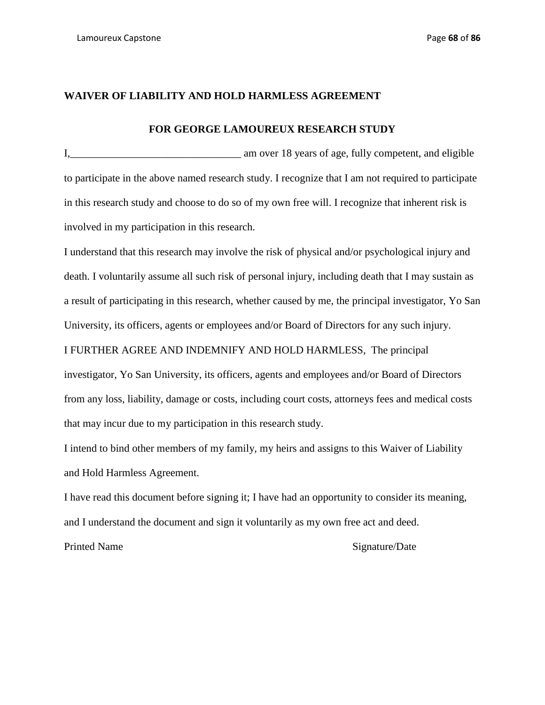## **WAIVER OF LIABILITY AND HOLD HARMLESS AGREEMENT**

## **FOR GEORGE LAMOUREUX RESEARCH STUDY**

I,\_\_\_\_\_\_\_\_\_\_\_\_\_\_\_\_\_\_\_\_\_\_\_\_\_\_\_\_\_\_\_\_ am over 18 years of age, fully competent, and eligible to participate in the above named research study. I recognize that I am not required to participate in this research study and choose to do so of my own free will. I recognize that inherent risk is involved in my participation in this research.

I understand that this research may involve the risk of physical and/or psychological injury and death. I voluntarily assume all such risk of personal injury, including death that I may sustain as a result of participating in this research, whether caused by me, the principal investigator, Yo San University, its officers, agents or employees and/or Board of Directors for any such injury.

I FURTHER AGREE AND INDEMNIFY AND HOLD HARMLESS, The principal

investigator, Yo San University, its officers, agents and employees and/or Board of Directors from any loss, liability, damage or costs, including court costs, attorneys fees and medical costs that may incur due to my participation in this research study.

I intend to bind other members of my family, my heirs and assigns to this Waiver of Liability and Hold Harmless Agreement.

I have read this document before signing it; I have had an opportunity to consider its meaning, and I understand the document and sign it voluntarily as my own free act and deed.

#### Printed Name Signature/Date Signature/Date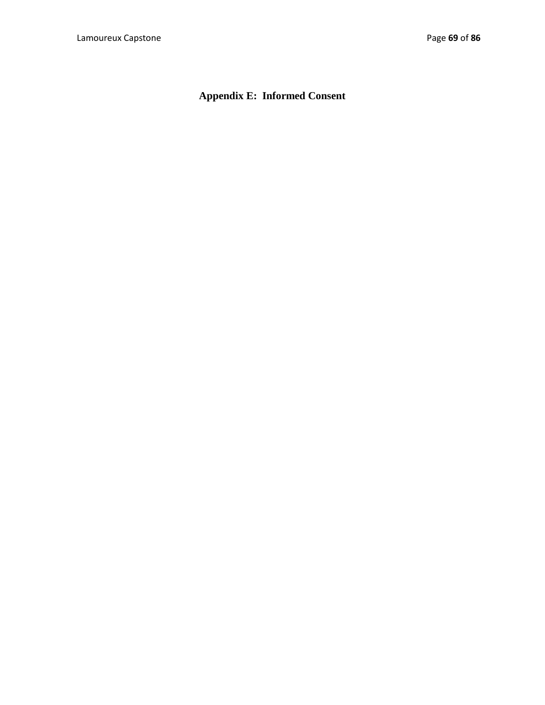# **Appendix E: Informed Consent**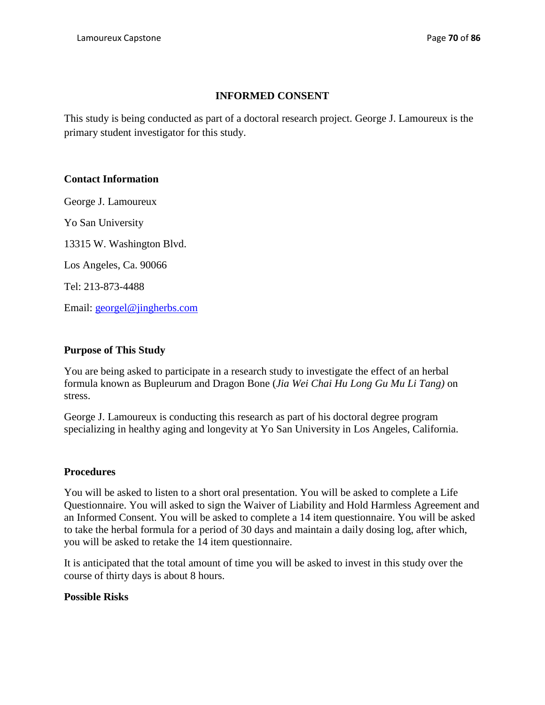# **INFORMED CONSENT**

This study is being conducted as part of a doctoral research project. George J. Lamoureux is the primary student investigator for this study.

# **Contact Information**

George J. Lamoureux

Yo San University

13315 W. Washington Blvd.

Los Angeles, Ca. 90066

Tel: 213-873-4488

Email: [georgel@jingherbs.com](mailto:georgel@jingherbs.com)

# **Purpose of This Study**

You are being asked to participate in a research study to investigate the effect of an herbal formula known as Bupleurum and Dragon Bone (*Jia Wei Chai Hu Long Gu Mu Li Tang)* on stress.

George J. Lamoureux is conducting this research as part of his doctoral degree program specializing in healthy aging and longevity at Yo San University in Los Angeles, California.

# **Procedures**

You will be asked to listen to a short oral presentation. You will be asked to complete a Life Questionnaire. You will asked to sign the Waiver of Liability and Hold Harmless Agreement and an Informed Consent. You will be asked to complete a 14 item questionnaire. You will be asked to take the herbal formula for a period of 30 days and maintain a daily dosing log, after which, you will be asked to retake the 14 item questionnaire.

It is anticipated that the total amount of time you will be asked to invest in this study over the course of thirty days is about 8 hours.

# **Possible Risks**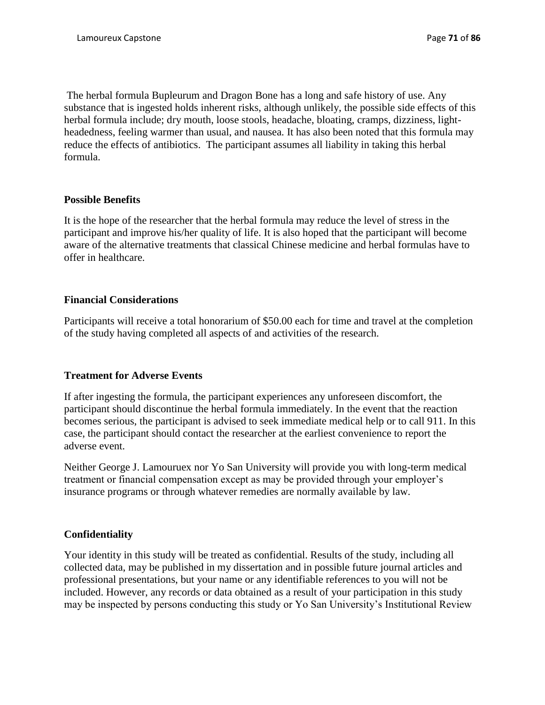The herbal formula Bupleurum and Dragon Bone has a long and safe history of use. Any substance that is ingested holds inherent risks, although unlikely, the possible side effects of this herbal formula include; dry mouth, loose stools, headache, bloating, cramps, dizziness, lightheadedness, feeling warmer than usual, and nausea. It has also been noted that this formula may reduce the effects of antibiotics. The participant assumes all liability in taking this herbal formula.

## **Possible Benefits**

It is the hope of the researcher that the herbal formula may reduce the level of stress in the participant and improve his/her quality of life. It is also hoped that the participant will become aware of the alternative treatments that classical Chinese medicine and herbal formulas have to offer in healthcare.

## **Financial Considerations**

Participants will receive a total honorarium of \$50.00 each for time and travel at the completion of the study having completed all aspects of and activities of the research.

# **Treatment for Adverse Events**

If after ingesting the formula, the participant experiences any unforeseen discomfort, the participant should discontinue the herbal formula immediately. In the event that the reaction becomes serious, the participant is advised to seek immediate medical help or to call 911. In this case, the participant should contact the researcher at the earliest convenience to report the adverse event.

Neither George J. Lamouruex nor Yo San University will provide you with long-term medical treatment or financial compensation except as may be provided through your employer's insurance programs or through whatever remedies are normally available by law.

## **Confidentiality**

Your identity in this study will be treated as confidential. Results of the study, including all collected data, may be published in my dissertation and in possible future journal articles and professional presentations, but your name or any identifiable references to you will not be included. However, any records or data obtained as a result of your participation in this study may be inspected by persons conducting this study or Yo San University's Institutional Review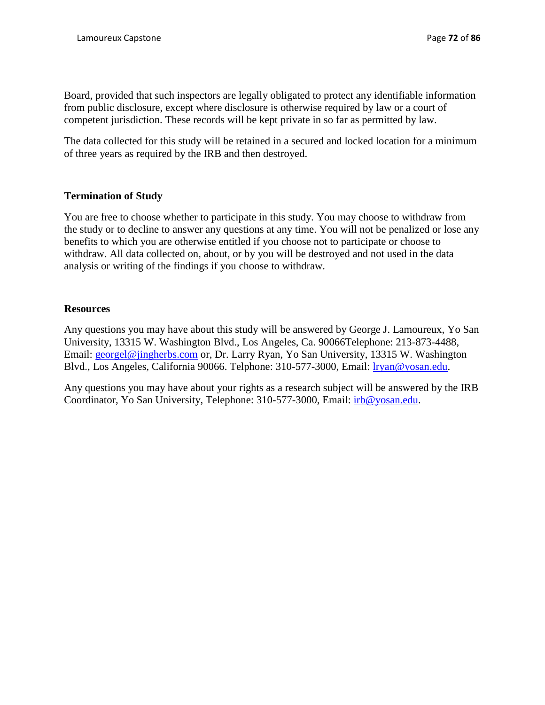Board, provided that such inspectors are legally obligated to protect any identifiable information from public disclosure, except where disclosure is otherwise required by law or a court of competent jurisdiction. These records will be kept private in so far as permitted by law.

The data collected for this study will be retained in a secured and locked location for a minimum of three years as required by the IRB and then destroyed.

# **Termination of Study**

You are free to choose whether to participate in this study. You may choose to withdraw from the study or to decline to answer any questions at any time. You will not be penalized or lose any benefits to which you are otherwise entitled if you choose not to participate or choose to withdraw. All data collected on, about, or by you will be destroyed and not used in the data analysis or writing of the findings if you choose to withdraw.

## **Resources**

Any questions you may have about this study will be answered by George J. Lamoureux, Yo San University, 13315 W. Washington Blvd., Los Angeles, Ca. 90066Telephone: 213-873-4488, Email: [georgel@jingherbs.com](mailto:georgel@jingherbs.com) or, Dr. Larry Ryan, Yo San University, 13315 W. Washington Blvd., Los Angeles, California 90066. Telphone: 310-577-3000, Email: [lryan@yosan.edu.](mailto:lryan@yosan.edu)

Any questions you may have about your rights as a research subject will be answered by the IRB Coordinator, Yo San University, Telephone: 310-577-3000, Email: [irb@yosan.edu.](mailto:irb@yosan.edu)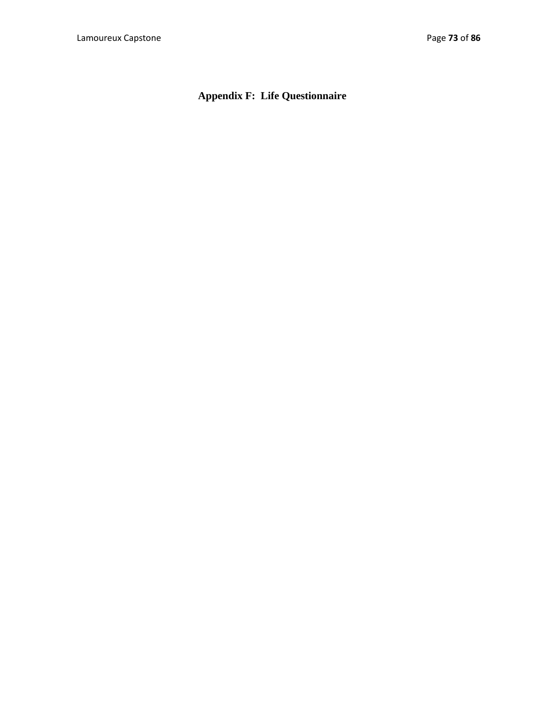**Appendix F: Life Questionnaire**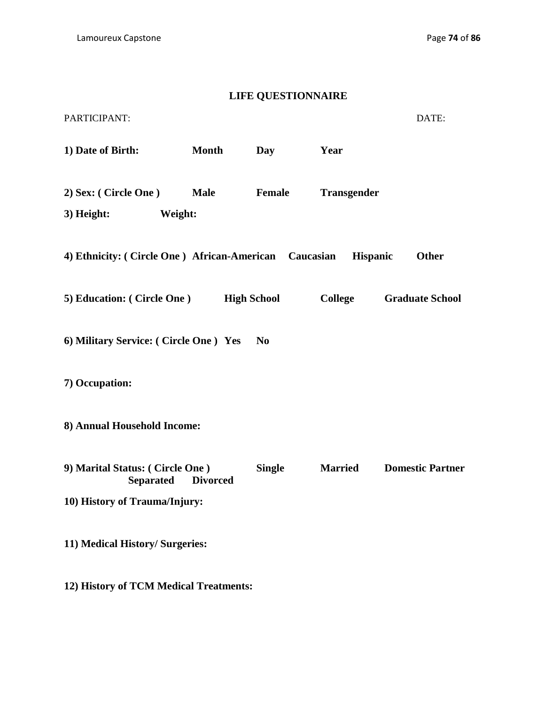# **LIFE QUESTIONNAIRE**

| PARTICIPANT:                                          |                    |                |                    | DATE:                   |
|-------------------------------------------------------|--------------------|----------------|--------------------|-------------------------|
| 1) Date of Birth:                                     | <b>Month</b>       | Day            | Year               |                         |
| 2) Sex: (Circle One)<br>3) Height:<br>Weight:         | <b>Male</b>        | <b>Female</b>  | <b>Transgender</b> |                         |
| 4) Ethnicity: (Circle One) African-American Caucasian |                    |                | <b>Hispanic</b>    | <b>Other</b>            |
| 5) Education: (Circle One)                            | <b>High School</b> |                | College            | <b>Graduate School</b>  |
| 6) Military Service: (Circle One) Yes                 |                    | N <sub>0</sub> |                    |                         |
| 7) Occupation:                                        |                    |                |                    |                         |
| 8) Annual Household Income:                           |                    |                |                    |                         |
| 9) Marital Status: (Circle One)<br><b>Separated</b>   | <b>Divorced</b>    | <b>Single</b>  | <b>Married</b>     | <b>Domestic Partner</b> |
| 10) History of Trauma/Injury:                         |                    |                |                    |                         |
| 11) Medical History/ Surgeries:                       |                    |                |                    |                         |

**12) History of TCM Medical Treatments:**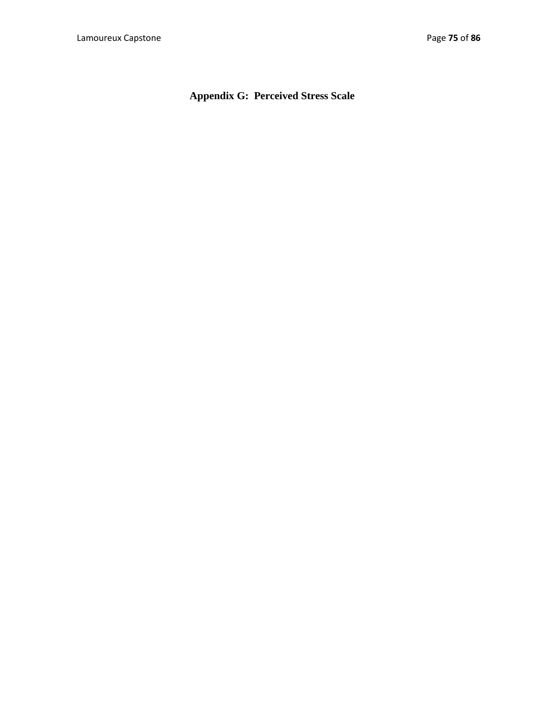**Appendix G: Perceived Stress Scale**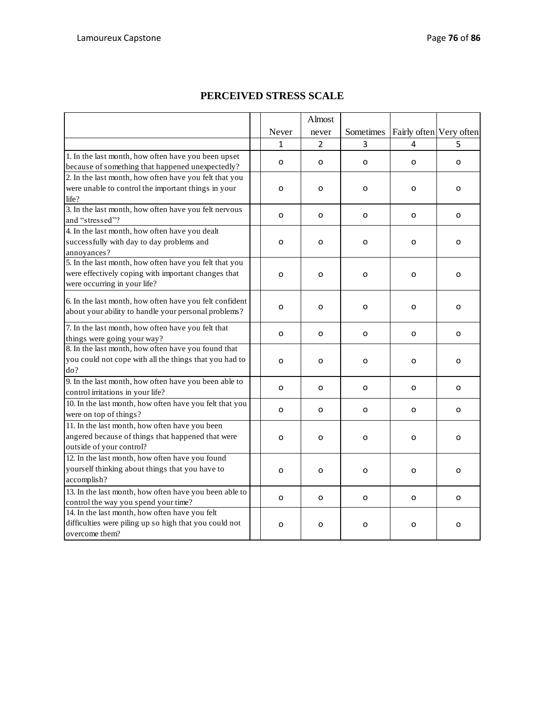|                                                         |              | Almost         |           |                         |          |
|---------------------------------------------------------|--------------|----------------|-----------|-------------------------|----------|
|                                                         | Never        | never          | Sometimes | Fairly often Very often |          |
|                                                         | 1            | $\overline{2}$ | 3         | 4                       | 5        |
| 1. In the last month, how often have you been upset     |              |                |           |                         |          |
| because of something that happened unexpectedly?        | O            | 0              | o         | 0                       | 0        |
| 2. In the last month, how often have you felt that you  |              |                |           |                         |          |
| were unable to control the important things in your     | 0            | o              | o         | o                       | o        |
| life?                                                   |              |                |           |                         |          |
| 3. In the last month, how often have you felt nervous   | O            | 0              | O         | O                       | 0        |
| and "stressed"?                                         |              |                |           |                         |          |
| 4. In the last month, how often have you dealt          |              |                |           |                         |          |
| successfully with day to day problems and               | O            | o              | o         | O                       | O        |
| annoyances?                                             |              |                |           |                         |          |
| 5. In the last month, how often have you felt that you  |              |                |           |                         |          |
| were effectively coping with important changes that     | $\mathbf{o}$ | O              | O         | $\Omega$                | o        |
| were occurring in your life?                            |              |                |           |                         |          |
| 6. In the last month, how often have you felt confident |              |                |           |                         |          |
| about your ability to handle your personal problems?    | o            | o              | o         | 0                       | 0        |
|                                                         |              |                |           |                         |          |
| 7. In the last month, how often have you felt that      | O            | o              | o         | O                       | O        |
| things were going your way?                             |              |                |           |                         |          |
| 8. In the last month, how often have you found that     |              |                |           |                         |          |
| you could not cope with all the things that you had to  | O            | o              | o         | O                       | 0        |
| do?                                                     |              |                |           |                         |          |
| 9. In the last month, how often have you been able to   | O            | O              | $\Omega$  | $\Omega$                | O        |
| control irritations in your life?                       |              |                |           |                         |          |
| 10. In the last month, how often have you felt that you |              |                |           |                         |          |
| were on top of things?                                  | 0            | о              | 0         | 0                       | 0        |
| 11. In the last month, how often have you been          |              |                |           |                         |          |
| angered because of things that happened that were       | O            | O              | o         | o                       | o        |
| outside of your control?                                |              |                |           |                         |          |
| 12. In the last month, how often have you found         |              |                |           |                         |          |
| yourself thinking about things that you have to         | $\Omega$     | O              | O         | O                       | $\Omega$ |
| accomplish?                                             |              |                |           |                         |          |
| 13. In the last month, how often have you been able to  |              |                |           |                         |          |
| control the way you spend your time?                    | $\mathbf{o}$ | 0              | o         | O                       | 0        |
| 14. In the last month, how often have you felt          |              |                |           |                         |          |
| difficulties were piling up so high that you could not  | O            | 0              | o         | O                       | o        |
| overcome them?                                          |              |                |           |                         |          |

## **PERCEIVED STRESS SCALE**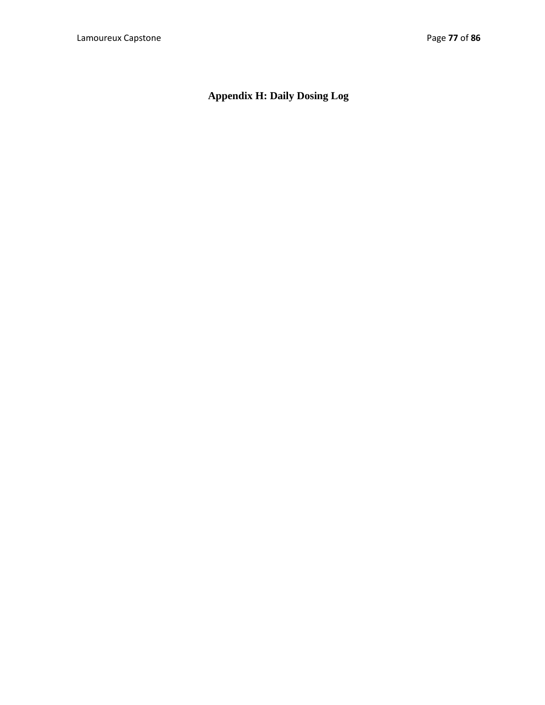# **Appendix H: Daily Dosing Log**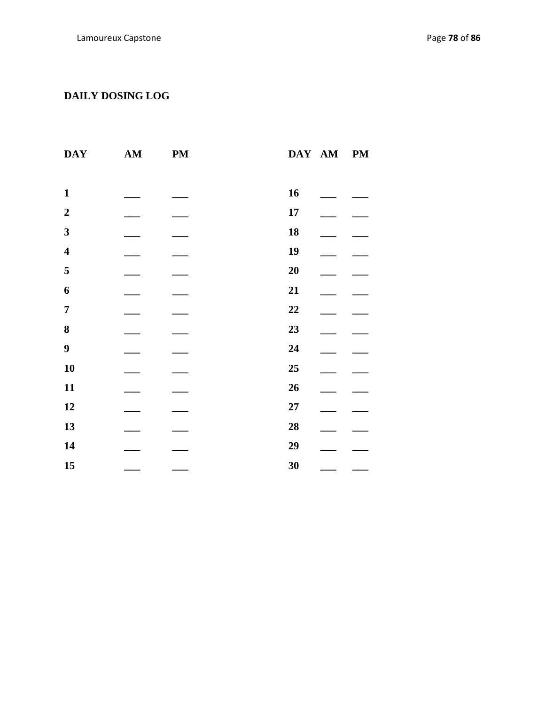# **DAILY DOSING LOG**

| <b>DAY</b>              | AM | <b>PM</b> | DAY AM<br><b>PM</b> |
|-------------------------|----|-----------|---------------------|
|                         |    |           |                     |
| $\mathbf{1}$            |    |           | 16                  |
| $\boldsymbol{2}$        |    |           | 17                  |
| $\mathbf{3}$            |    |           | 18                  |
| $\overline{\mathbf{4}}$ |    |           | 19                  |
| 5                       |    |           | 20                  |
| 6                       |    |           | 21                  |
| $\overline{7}$          |    |           | 22                  |
| ${\bf 8}$               |    |           | 23                  |
| $\boldsymbol{9}$        |    |           | 24                  |
| 10                      |    |           | 25                  |
| 11                      |    |           | 26                  |
| 12                      |    |           | 27                  |
| 13                      |    |           | 28                  |
| 14                      |    |           | 29                  |
| 15                      |    |           | 30                  |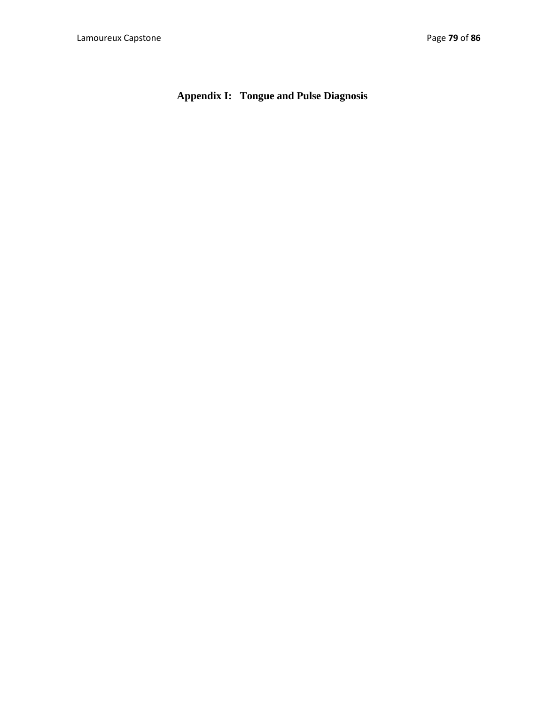**Appendix I: Tongue and Pulse Diagnosis**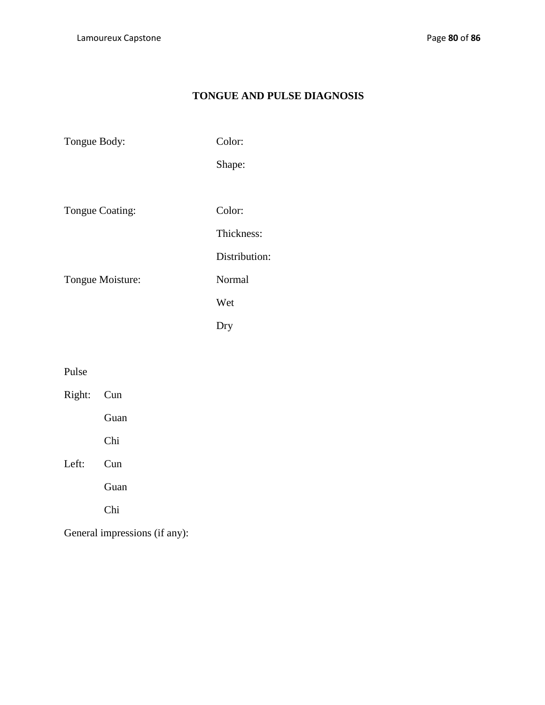## **TONGUE AND PULSE DIAGNOSIS**

Tongue Body: Color: Shape: Tongue Coating: Color: Thickness: Distribution: Tongue Moisture: Normal Wet Dry

Pulse

| Right: Cun |      |
|------------|------|
|            | Guan |
|            | Chi  |
| Left:      | Cun  |
|            | Guan |
|            | Chi  |
|            |      |

General impressions (if any):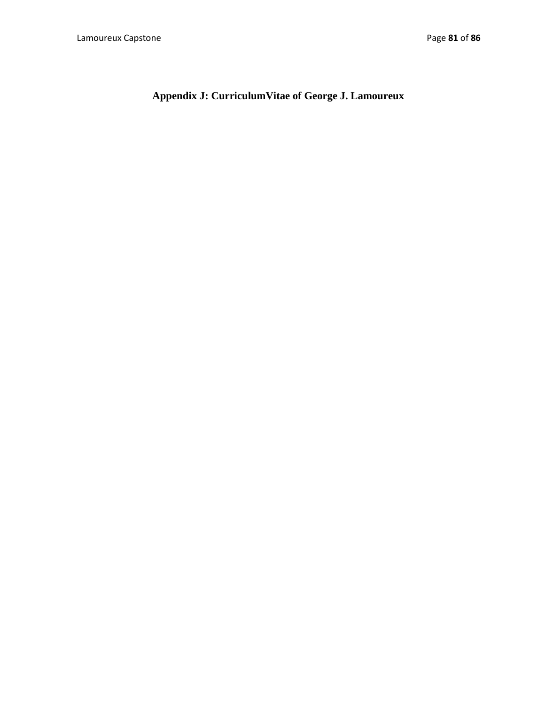**Appendix J: CurriculumVitae of George J. Lamoureux**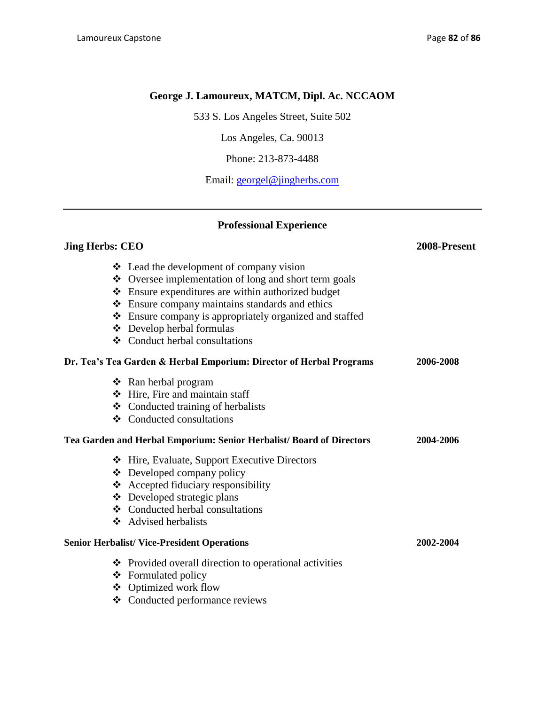### **George J. Lamoureux, MATCM, Dipl. Ac. NCCAOM**

533 S. Los Angeles Street, Suite 502

Los Angeles, Ca. 90013

Phone: 213-873-4488

Email: [georgel@jingherbs.com](mailto:georgel@jingherbs.com)

### **Professional Experience**

### **Jing Herbs: CEO 2008-Present**

| ❖ Lead the development of company vision                                      |           |
|-------------------------------------------------------------------------------|-----------|
| ❖ Oversee implementation of long and short term goals                         |           |
| ❖ Ensure expenditures are within authorized budget                            |           |
| ❖ Ensure company maintains standards and ethics                               |           |
| ❖ Ensure company is appropriately organized and staffed                       |           |
| ❖ Develop herbal formulas                                                     |           |
| $\div$ Conduct herbal consultations                                           |           |
| Dr. Tea's Tea Garden & Herbal Emporium: Director of Herbal Programs           | 2006-2008 |
| $\triangleleft$ Ran herbal program                                            |           |
| Hire, Fire and maintain staff                                                 |           |
| ❖ Conducted training of herbalists                                            |           |
| ❖ Conducted consultations                                                     |           |
| Tea Garden and Herbal Emporium: Senior Herbalist/ Board of Directors          | 2004-2006 |
| ❖ Hire, Evaluate, Support Executive Directors                                 |           |
| ❖ Developed company policy                                                    |           |
| ❖ Accepted fiduciary responsibility                                           |           |
| ❖ Developed strategic plans                                                   |           |
| ❖ Conducted herbal consultations                                              |           |
| ❖ Advised herbalists                                                          |           |
| <b>Senior Herbalist/ Vice-President Operations</b>                            | 2002-2004 |
| ❖ Provided overall direction to operational activities<br>❖ Formulated policy |           |
|                                                                               |           |

- Optimized work flow
- Conducted performance reviews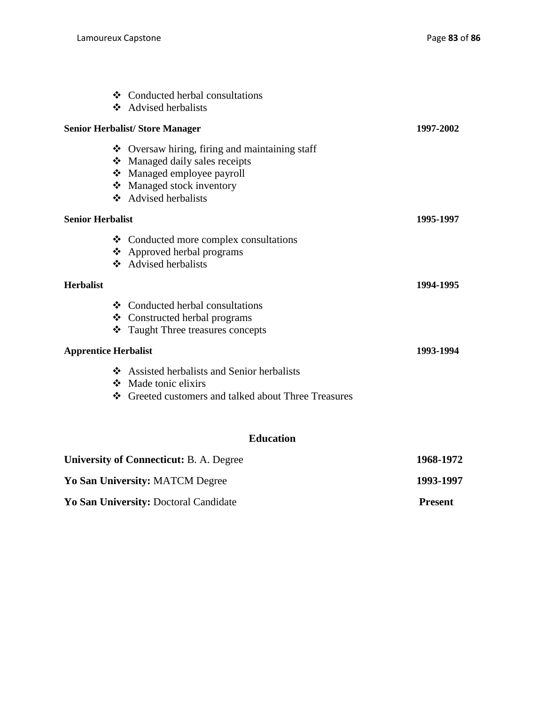|                                 | ❖ Conducted herbal consultations                     |           |
|---------------------------------|------------------------------------------------------|-----------|
|                                 | ❖ Advised herbalists                                 |           |
|                                 | <b>Senior Herbalist/ Store Manager</b>               | 1997-2002 |
|                                 | ❖ Oversaw hiring, firing and maintaining staff       |           |
|                                 | Managed daily sales receipts                         |           |
|                                 | ❖ Managed employee payroll                           |           |
|                                 | Managed stock inventory                              |           |
|                                 | ❖ Advised herbalists                                 |           |
| <b>Senior Herbalist</b>         |                                                      | 1995-1997 |
|                                 | ❖ Conducted more complex consultations               |           |
|                                 | ❖ Approved herbal programs                           |           |
|                                 | ❖ Advised herbalists                                 |           |
| <b>Herbalist</b>                |                                                      | 1994-1995 |
|                                 | ❖ Conducted herbal consultations                     |           |
|                                 | ❖ Constructed herbal programs                        |           |
|                                 | Taught Three treasures concepts                      |           |
| <b>Apprentice Herbalist</b>     |                                                      | 1993-1994 |
|                                 | ❖ Assisted herbalists and Senior herbalists          |           |
|                                 | Made tonic elixirs                                   |           |
|                                 | ❖ Greeted customers and talked about Three Treasures |           |
|                                 | <b>Education</b>                                     |           |
|                                 | <b>University of Connecticut: B. A. Degree</b>       | 1968-1972 |
| Yo San University: MATCM Degree |                                                      | 1993-1997 |

**Yo San University:** Doctoral Candidate **Present**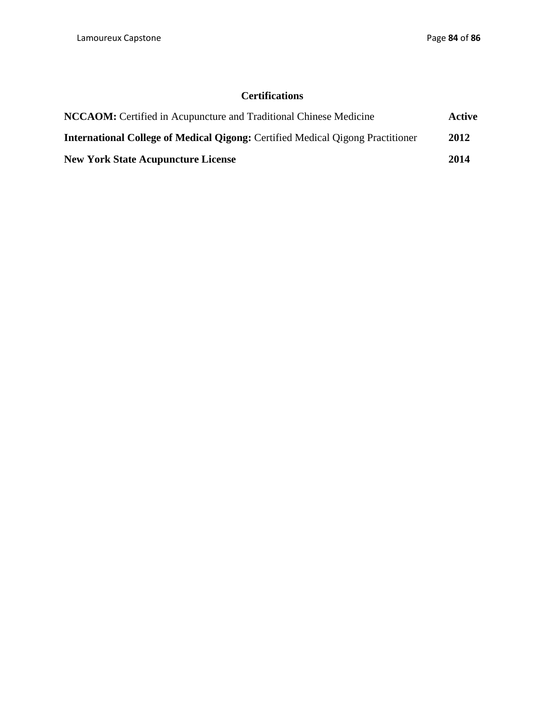## **Certifications**

| <b>NCCAOM:</b> Certified in Acupuncture and Traditional Chinese Medicine              |      |
|---------------------------------------------------------------------------------------|------|
| <b>International College of Medical Qigong:</b> Certified Medical Qigong Practitioner | 2012 |
| <b>New York State Acupuncture License</b>                                             | 2014 |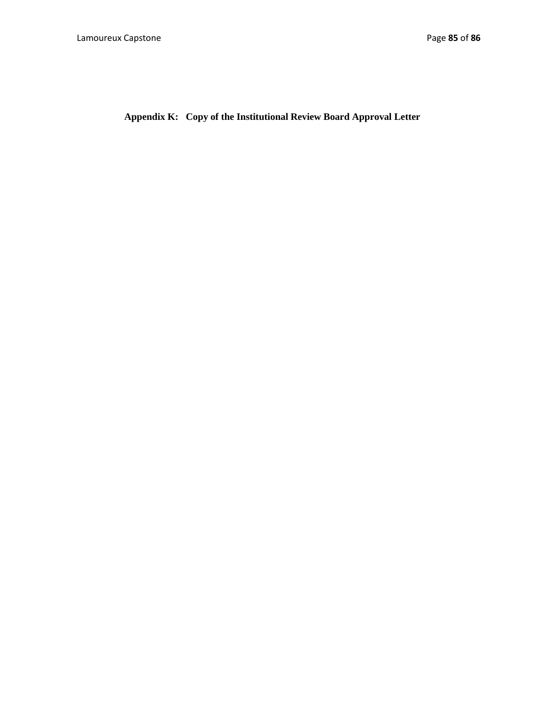**Appendix K: Copy of the Institutional Review Board Approval Letter**